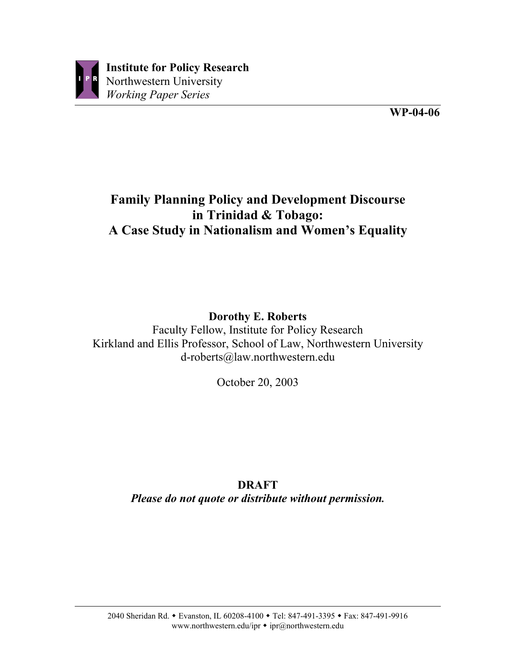

# **Family Planning Policy and Development Discourse in Trinidad & Tobago: A Case Study in Nationalism and Women's Equality**

# **Dorothy E. Roberts**

Faculty Fellow, Institute for Policy Research Kirkland and Ellis Professor, School of Law, Northwestern University d-roberts@law.northwestern.edu

October 20, 2003

# **DRAFT** *Please do not quote or distribute without permission.*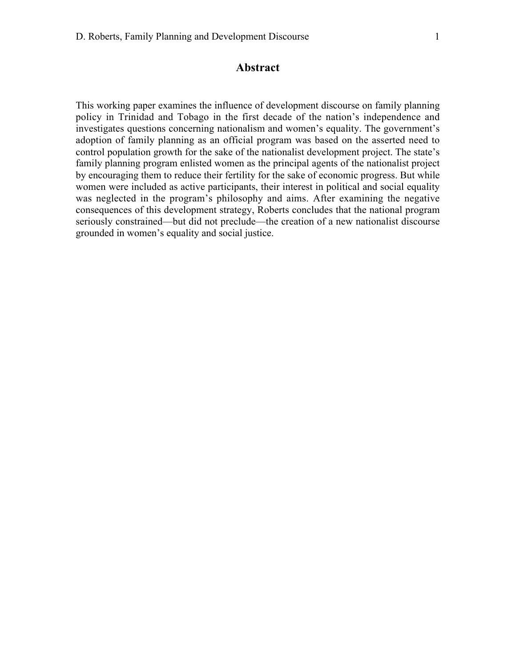# **Abstract**

This working paper examines the influence of development discourse on family planning policy in Trinidad and Tobago in the first decade of the nation's independence and investigates questions concerning nationalism and women's equality. The government's adoption of family planning as an official program was based on the asserted need to control population growth for the sake of the nationalist development project. The state's family planning program enlisted women as the principal agents of the nationalist project by encouraging them to reduce their fertility for the sake of economic progress. But while women were included as active participants, their interest in political and social equality was neglected in the program's philosophy and aims. After examining the negative consequences of this development strategy, Roberts concludes that the national program seriously constrained—but did not preclude—the creation of a new nationalist discourse grounded in women's equality and social justice.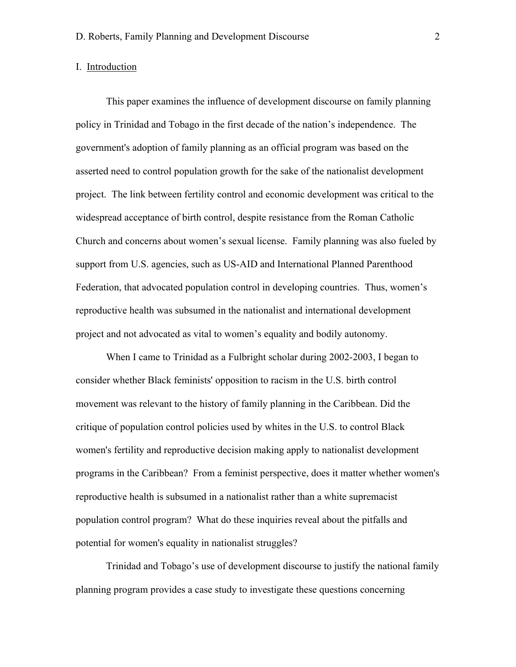#### I. Introduction

This paper examines the influence of development discourse on family planning policy in Trinidad and Tobago in the first decade of the nation's independence. The government's adoption of family planning as an official program was based on the asserted need to control population growth for the sake of the nationalist development project. The link between fertility control and economic development was critical to the widespread acceptance of birth control, despite resistance from the Roman Catholic Church and concerns about women's sexual license. Family planning was also fueled by support from U.S. agencies, such as US-AID and International Planned Parenthood Federation, that advocated population control in developing countries. Thus, women's reproductive health was subsumed in the nationalist and international development project and not advocated as vital to women's equality and bodily autonomy.

When I came to Trinidad as a Fulbright scholar during 2002-2003, I began to consider whether Black feminists' opposition to racism in the U.S. birth control movement was relevant to the history of family planning in the Caribbean. Did the critique of population control policies used by whites in the U.S. to control Black women's fertility and reproductive decision making apply to nationalist development programs in the Caribbean? From a feminist perspective, does it matter whether women's reproductive health is subsumed in a nationalist rather than a white supremacist population control program? What do these inquiries reveal about the pitfalls and potential for women's equality in nationalist struggles?

Trinidad and Tobago's use of development discourse to justify the national family planning program provides a case study to investigate these questions concerning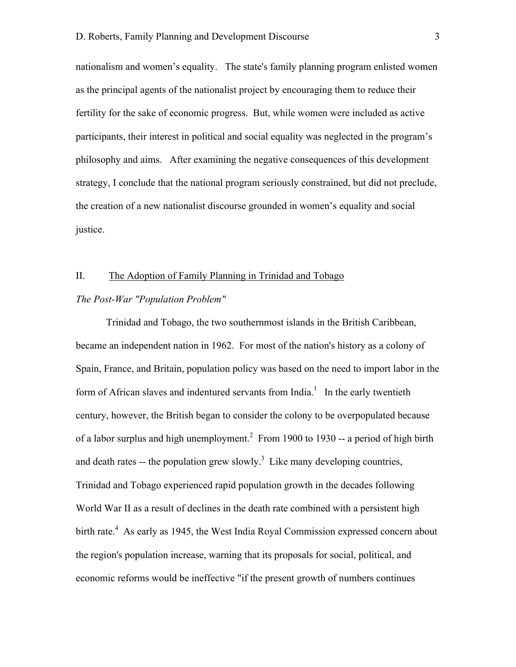nationalism and women's equality. The state's family planning program enlisted women as the principal agents of the nationalist project by encouraging them to reduce their fertility for the sake of economic progress. But, while women were included as active participants, their interest in political and social equality was neglected in the program's philosophy and aims. After examining the negative consequences of this development strategy, I conclude that the national program seriously constrained, but did not preclude, the creation of a new nationalist discourse grounded in women's equality and social justice.

## II. The Adoption of Family Planning in Trinidad and Tobago

#### *The Post-War "Population Problem"*

Trinidad and Tobago, the two southernmost islands in the British Caribbean, became an independent nation in 1962. For most of the nation's history as a colony of Spain, France, and Britain, population policy was based on the need to import labor in the form of African slaves and indentured servants from India.<sup>1</sup> In the early twentieth century, however, the British began to consider the colony to be overpopulated because of a labor surplus and high unemployment.<sup>2</sup> From 1900 to 1930 -- a period of high birth and death rates -- the population grew slowly.<sup>3</sup> Like many developing countries, Trinidad and Tobago experienced rapid population growth in the decades following World War II as a result of declines in the death rate combined with a persistent high birth rate.<sup>4</sup> As early as 1945, the West India Royal Commission expressed concern about the region's population increase, warning that its proposals for social, political, and economic reforms would be ineffective "if the present growth of numbers continues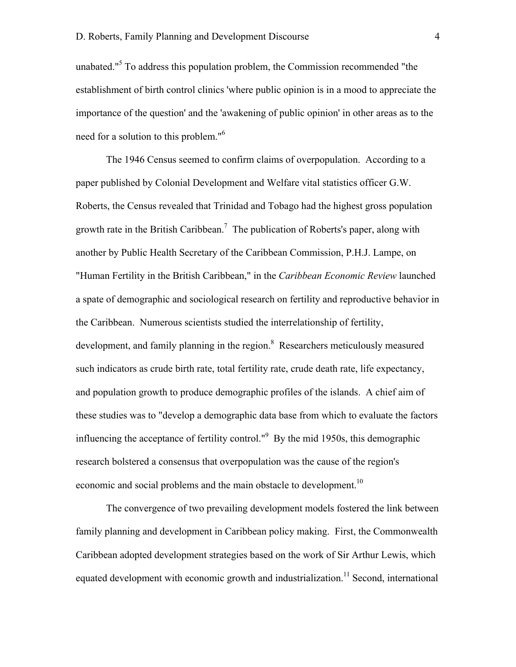unabated."<sup>5</sup> To address this population problem, the Commission recommended "the establishment of birth control clinics 'where public opinion is in a mood to appreciate the importance of the question' and the 'awakening of public opinion' in other areas as to the need for a solution to this problem."6

The 1946 Census seemed to confirm claims of overpopulation. According to a paper published by Colonial Development and Welfare vital statistics officer G.W. Roberts, the Census revealed that Trinidad and Tobago had the highest gross population growth rate in the British Caribbean.<sup>7</sup> The publication of Roberts's paper, along with another by Public Health Secretary of the Caribbean Commission, P.H.J. Lampe, on "Human Fertility in the British Caribbean," in the *Caribbean Economic Review* launched a spate of demographic and sociological research on fertility and reproductive behavior in the Caribbean. Numerous scientists studied the interrelationship of fertility, development, and family planning in the region.<sup>8</sup> Researchers meticulously measured such indicators as crude birth rate, total fertility rate, crude death rate, life expectancy, and population growth to produce demographic profiles of the islands. A chief aim of these studies was to "develop a demographic data base from which to evaluate the factors influencing the acceptance of fertility control."<sup>9</sup> By the mid 1950s, this demographic research bolstered a consensus that overpopulation was the cause of the region's economic and social problems and the main obstacle to development.<sup>10</sup>

The convergence of two prevailing development models fostered the link between family planning and development in Caribbean policy making. First, the Commonwealth Caribbean adopted development strategies based on the work of Sir Arthur Lewis, which equated development with economic growth and industrialization.<sup>11</sup> Second, international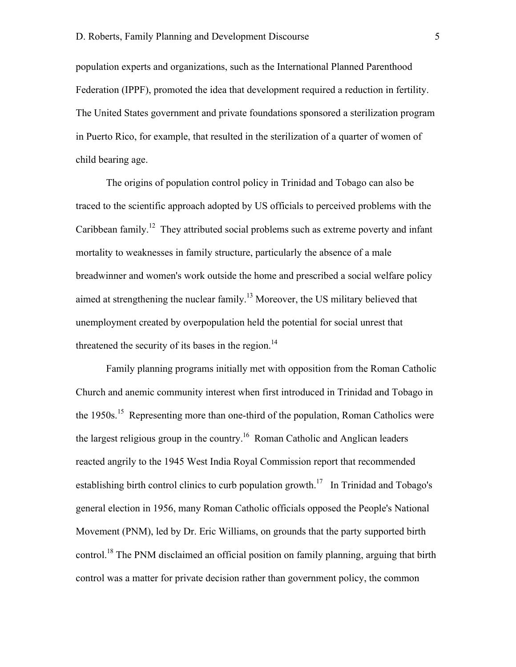population experts and organizations, such as the International Planned Parenthood Federation (IPPF), promoted the idea that development required a reduction in fertility. The United States government and private foundations sponsored a sterilization program in Puerto Rico, for example, that resulted in the sterilization of a quarter of women of child bearing age.

The origins of population control policy in Trinidad and Tobago can also be traced to the scientific approach adopted by US officials to perceived problems with the Caribbean family.<sup>12</sup> They attributed social problems such as extreme poverty and infant mortality to weaknesses in family structure, particularly the absence of a male breadwinner and women's work outside the home and prescribed a social welfare policy aimed at strengthening the nuclear family.<sup>13</sup> Moreover, the US military believed that unemployment created by overpopulation held the potential for social unrest that threatened the security of its bases in the region.<sup>14</sup>

Family planning programs initially met with opposition from the Roman Catholic Church and anemic community interest when first introduced in Trinidad and Tobago in the 1950s.<sup>15</sup> Representing more than one-third of the population, Roman Catholics were the largest religious group in the country.<sup>16</sup> Roman Catholic and Anglican leaders reacted angrily to the 1945 West India Royal Commission report that recommended establishing birth control clinics to curb population growth.<sup>17</sup> In Trinidad and Tobago's general election in 1956, many Roman Catholic officials opposed the People's National Movement (PNM), led by Dr. Eric Williams, on grounds that the party supported birth control.<sup>18</sup> The PNM disclaimed an official position on family planning, arguing that birth control was a matter for private decision rather than government policy, the common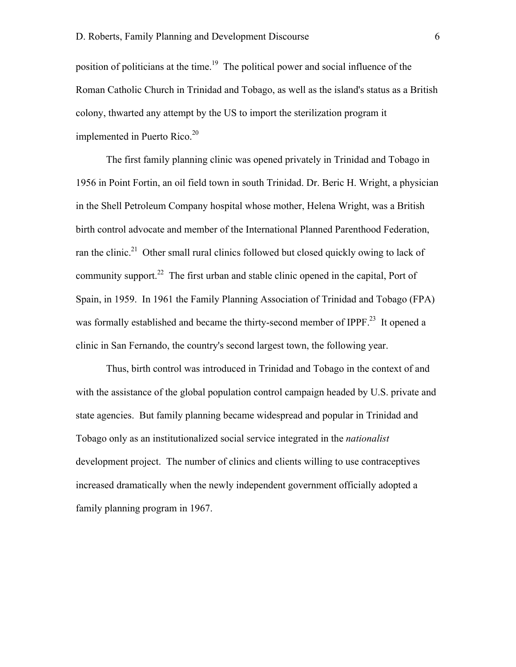position of politicians at the time.<sup>19</sup> The political power and social influence of the Roman Catholic Church in Trinidad and Tobago, as well as the island's status as a British colony, thwarted any attempt by the US to import the sterilization program it implemented in Puerto Rico.<sup>20</sup>

The first family planning clinic was opened privately in Trinidad and Tobago in 1956 in Point Fortin, an oil field town in south Trinidad. Dr. Beric H. Wright, a physician in the Shell Petroleum Company hospital whose mother, Helena Wright, was a British birth control advocate and member of the International Planned Parenthood Federation, ran the clinic.<sup>21</sup> Other small rural clinics followed but closed quickly owing to lack of community support.<sup>22</sup> The first urban and stable clinic opened in the capital, Port of Spain, in 1959. In 1961 the Family Planning Association of Trinidad and Tobago (FPA) was formally established and became the thirty-second member of IPPF.<sup>23</sup> It opened a clinic in San Fernando, the country's second largest town, the following year.

Thus, birth control was introduced in Trinidad and Tobago in the context of and with the assistance of the global population control campaign headed by U.S. private and state agencies. But family planning became widespread and popular in Trinidad and Tobago only as an institutionalized social service integrated in the *nationalist* development project. The number of clinics and clients willing to use contraceptives increased dramatically when the newly independent government officially adopted a family planning program in 1967.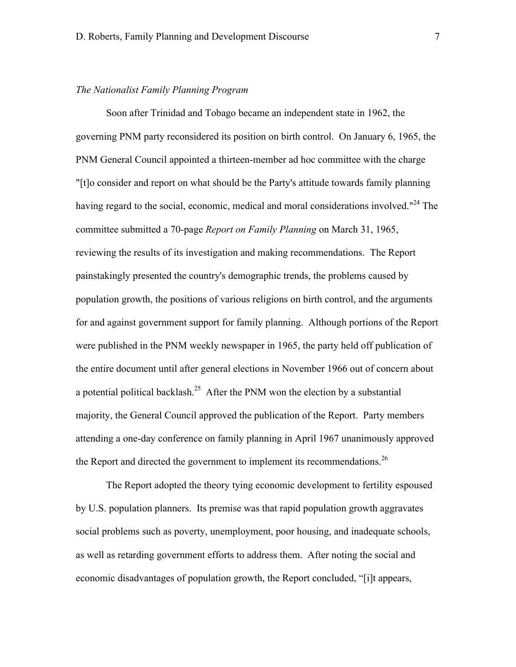## *The Nationalist Family Planning Program*

Soon after Trinidad and Tobago became an independent state in 1962, the governing PNM party reconsidered its position on birth control. On January 6, 1965, the PNM General Council appointed a thirteen-member ad hoc committee with the charge "[t]o consider and report on what should be the Party's attitude towards family planning having regard to the social, economic, medical and moral considerations involved."<sup>24</sup> The committee submitted a 70-page *Report on Family Planning* on March 31, 1965, reviewing the results of its investigation and making recommendations. The Report painstakingly presented the country's demographic trends, the problems caused by population growth, the positions of various religions on birth control, and the arguments for and against government support for family planning. Although portions of the Report were published in the PNM weekly newspaper in 1965, the party held off publication of the entire document until after general elections in November 1966 out of concern about a potential political backlash.<sup>25</sup> After the PNM won the election by a substantial majority, the General Council approved the publication of the Report. Party members attending a one-day conference on family planning in April 1967 unanimously approved the Report and directed the government to implement its recommendations.<sup>26</sup>

The Report adopted the theory tying economic development to fertility espoused by U.S. population planners. Its premise was that rapid population growth aggravates social problems such as poverty, unemployment, poor housing, and inadequate schools, as well as retarding government efforts to address them. After noting the social and economic disadvantages of population growth, the Report concluded, "[i]t appears,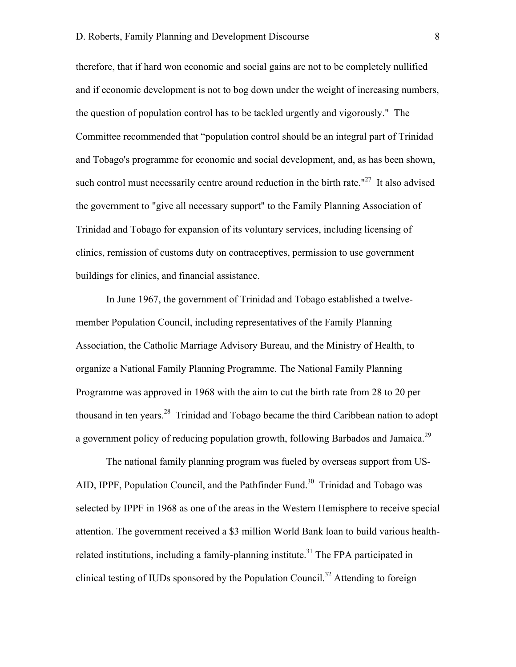therefore, that if hard won economic and social gains are not to be completely nullified and if economic development is not to bog down under the weight of increasing numbers, the question of population control has to be tackled urgently and vigorously." The Committee recommended that "population control should be an integral part of Trinidad and Tobago's programme for economic and social development, and, as has been shown, such control must necessarily centre around reduction in the birth rate." $27$  It also advised the government to "give all necessary support" to the Family Planning Association of Trinidad and Tobago for expansion of its voluntary services, including licensing of clinics, remission of customs duty on contraceptives, permission to use government buildings for clinics, and financial assistance.

In June 1967, the government of Trinidad and Tobago established a twelvemember Population Council, including representatives of the Family Planning Association, the Catholic Marriage Advisory Bureau, and the Ministry of Health, to organize a National Family Planning Programme. The National Family Planning Programme was approved in 1968 with the aim to cut the birth rate from 28 to 20 per thousand in ten years.<sup>28</sup> Trinidad and Tobago became the third Caribbean nation to adopt a government policy of reducing population growth, following Barbados and Jamaica.<sup>29</sup>

The national family planning program was fueled by overseas support from US-AID, IPPF, Population Council, and the Pathfinder Fund.<sup>30</sup> Trinidad and Tobago was selected by IPPF in 1968 as one of the areas in the Western Hemisphere to receive special attention. The government received a \$3 million World Bank loan to build various healthrelated institutions, including a family-planning institute.<sup>31</sup> The FPA participated in clinical testing of IUDs sponsored by the Population Council.<sup>32</sup> Attending to foreign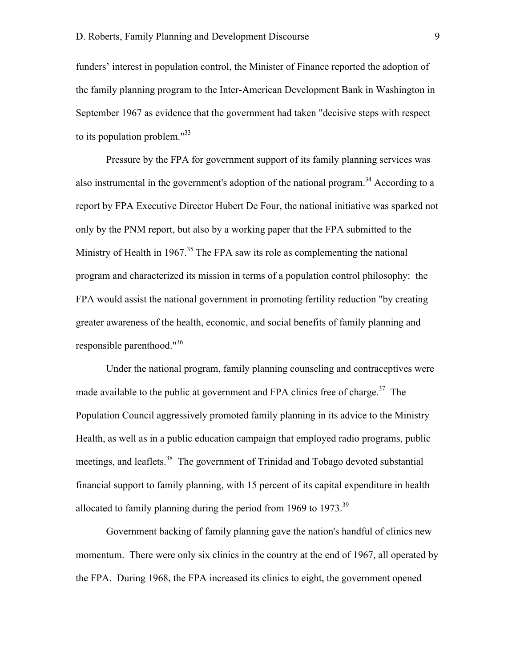funders' interest in population control, the Minister of Finance reported the adoption of the family planning program to the Inter-American Development Bank in Washington in September 1967 as evidence that the government had taken "decisive steps with respect to its population problem."33

Pressure by the FPA for government support of its family planning services was also instrumental in the government's adoption of the national program.<sup>34</sup> According to a report by FPA Executive Director Hubert De Four, the national initiative was sparked not only by the PNM report, but also by a working paper that the FPA submitted to the Ministry of Health in 1967. $35$  The FPA saw its role as complementing the national program and characterized its mission in terms of a population control philosophy: the FPA would assist the national government in promoting fertility reduction "by creating greater awareness of the health, economic, and social benefits of family planning and responsible parenthood."36

Under the national program, family planning counseling and contraceptives were made available to the public at government and FPA clinics free of charge.<sup>37</sup> The Population Council aggressively promoted family planning in its advice to the Ministry Health, as well as in a public education campaign that employed radio programs, public meetings, and leaflets.<sup>38</sup> The government of Trinidad and Tobago devoted substantial financial support to family planning, with 15 percent of its capital expenditure in health allocated to family planning during the period from 1969 to 1973.<sup>39</sup>

Government backing of family planning gave the nation's handful of clinics new momentum. There were only six clinics in the country at the end of 1967, all operated by the FPA. During 1968, the FPA increased its clinics to eight, the government opened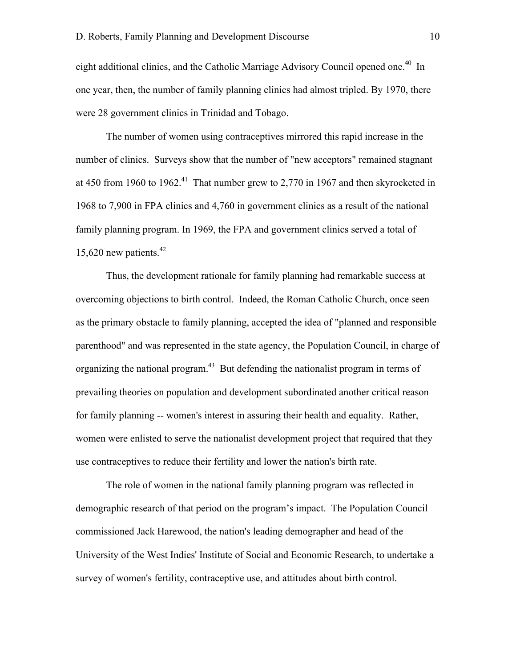eight additional clinics, and the Catholic Marriage Advisory Council opened one.<sup>40</sup> In one year, then, the number of family planning clinics had almost tripled. By 1970, there were 28 government clinics in Trinidad and Tobago.

The number of women using contraceptives mirrored this rapid increase in the number of clinics. Surveys show that the number of "new acceptors" remained stagnant at 450 from 1960 to 1962.<sup>41</sup> That number grew to 2,770 in 1967 and then skyrocketed in 1968 to 7,900 in FPA clinics and 4,760 in government clinics as a result of the national family planning program. In 1969, the FPA and government clinics served a total of 15,620 new patients.<sup>42</sup>

Thus, the development rationale for family planning had remarkable success at overcoming objections to birth control. Indeed, the Roman Catholic Church, once seen as the primary obstacle to family planning, accepted the idea of "planned and responsible parenthood" and was represented in the state agency, the Population Council, in charge of organizing the national program.<sup>43</sup> But defending the nationalist program in terms of prevailing theories on population and development subordinated another critical reason for family planning -- women's interest in assuring their health and equality. Rather, women were enlisted to serve the nationalist development project that required that they use contraceptives to reduce their fertility and lower the nation's birth rate.

The role of women in the national family planning program was reflected in demographic research of that period on the program's impact. The Population Council commissioned Jack Harewood, the nation's leading demographer and head of the University of the West Indies' Institute of Social and Economic Research, to undertake a survey of women's fertility, contraceptive use, and attitudes about birth control.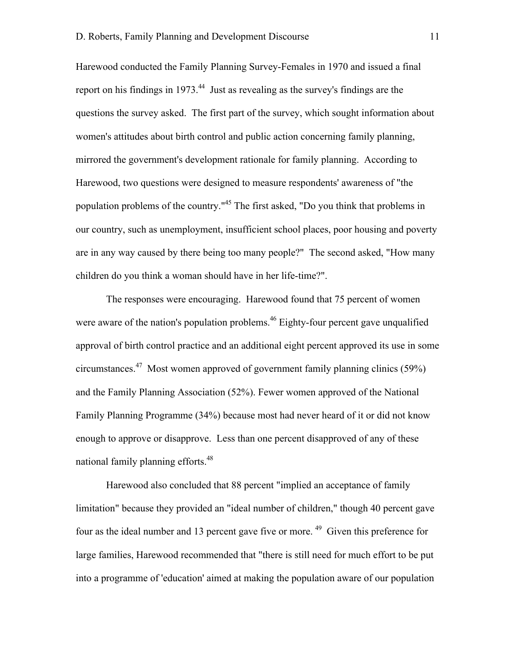Harewood conducted the Family Planning Survey-Females in 1970 and issued a final report on his findings in 1973. $44$  Just as revealing as the survey's findings are the questions the survey asked. The first part of the survey, which sought information about women's attitudes about birth control and public action concerning family planning, mirrored the government's development rationale for family planning. According to Harewood, two questions were designed to measure respondents' awareness of "the population problems of the country."<sup>45</sup> The first asked, "Do you think that problems in our country, such as unemployment, insufficient school places, poor housing and poverty are in any way caused by there being too many people?" The second asked, "How many children do you think a woman should have in her life-time?".

The responses were encouraging. Harewood found that 75 percent of women were aware of the nation's population problems.<sup>46</sup> Eighty-four percent gave unqualified approval of birth control practice and an additional eight percent approved its use in some circumstances.<sup>47</sup> Most women approved of government family planning clinics (59%) and the Family Planning Association (52%). Fewer women approved of the National Family Planning Programme (34%) because most had never heard of it or did not know enough to approve or disapprove. Less than one percent disapproved of any of these national family planning efforts.<sup>48</sup>

Harewood also concluded that 88 percent "implied an acceptance of family limitation" because they provided an "ideal number of children," though 40 percent gave four as the ideal number and 13 percent gave five or more.<sup>49</sup> Given this preference for large families, Harewood recommended that "there is still need for much effort to be put into a programme of 'education' aimed at making the population aware of our population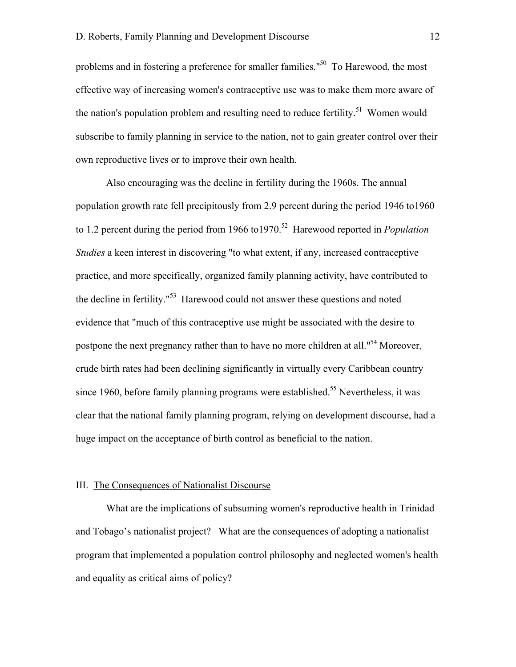problems and in fostering a preference for smaller families."<sup>50</sup> To Harewood, the most effective way of increasing women's contraceptive use was to make them more aware of the nation's population problem and resulting need to reduce fertility.<sup>51</sup> Women would subscribe to family planning in service to the nation, not to gain greater control over their own reproductive lives or to improve their own health.

Also encouraging was the decline in fertility during the 1960s. The annual population growth rate fell precipitously from 2.9 percent during the period 1946 to1960 to 1.2 percent during the period from 1966 to 1970.<sup>52</sup> Harewood reported in *Population Studies* a keen interest in discovering "to what extent, if any, increased contraceptive practice, and more specifically, organized family planning activity, have contributed to the decline in fertility."<sup>53</sup> Harewood could not answer these questions and noted evidence that "much of this contraceptive use might be associated with the desire to postpone the next pregnancy rather than to have no more children at all."<sup>54</sup> Moreover, crude birth rates had been declining significantly in virtually every Caribbean country since 1960, before family planning programs were established.<sup>55</sup> Nevertheless, it was clear that the national family planning program, relying on development discourse, had a huge impact on the acceptance of birth control as beneficial to the nation.

#### III. The Consequences of Nationalist Discourse

What are the implications of subsuming women's reproductive health in Trinidad and Tobago's nationalist project? What are the consequences of adopting a nationalist program that implemented a population control philosophy and neglected women's health and equality as critical aims of policy?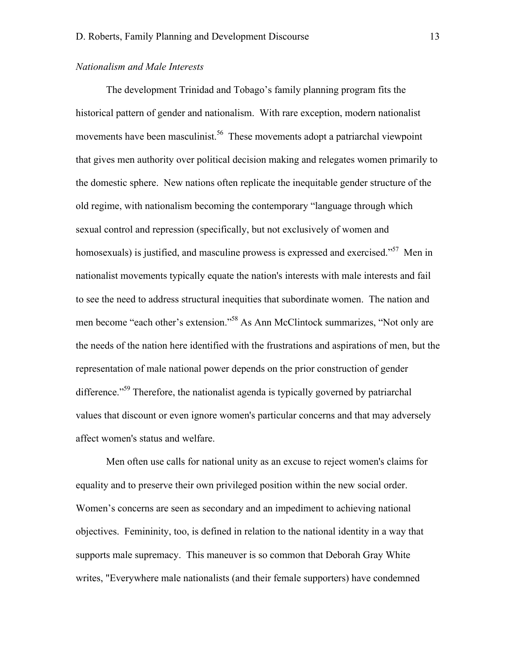# *Nationalism and Male Interests*

The development Trinidad and Tobago's family planning program fits the historical pattern of gender and nationalism. With rare exception, modern nationalist movements have been masculinist.<sup>56</sup> These movements adopt a patriarchal viewpoint that gives men authority over political decision making and relegates women primarily to the domestic sphere. New nations often replicate the inequitable gender structure of the old regime, with nationalism becoming the contemporary "language through which sexual control and repression (specifically, but not exclusively of women and homosexuals) is justified, and masculine prowess is expressed and exercised."<sup>57</sup> Men in nationalist movements typically equate the nation's interests with male interests and fail to see the need to address structural inequities that subordinate women. The nation and men become "each other's extension."<sup>58</sup> As Ann McClintock summarizes, "Not only are the needs of the nation here identified with the frustrations and aspirations of men, but the representation of male national power depends on the prior construction of gender difference."<sup>59</sup> Therefore, the nationalist agenda is typically governed by patriarchal values that discount or even ignore women's particular concerns and that may adversely affect women's status and welfare.

Men often use calls for national unity as an excuse to reject women's claims for equality and to preserve their own privileged position within the new social order. Women's concerns are seen as secondary and an impediment to achieving national objectives. Femininity, too, is defined in relation to the national identity in a way that supports male supremacy. This maneuver is so common that Deborah Gray White writes, "Everywhere male nationalists (and their female supporters) have condemned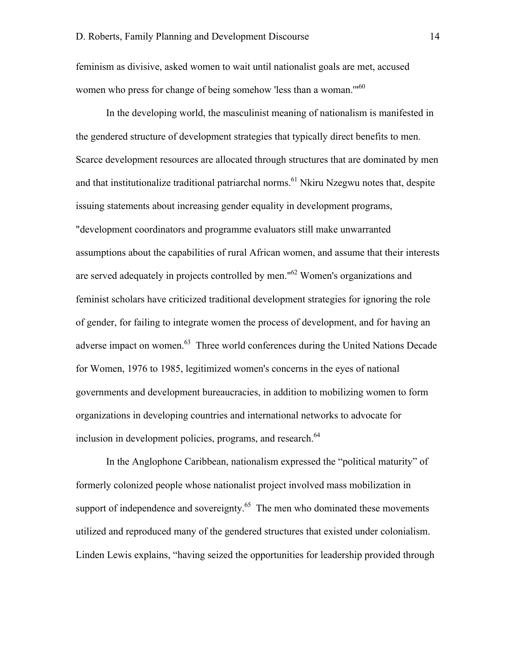feminism as divisive, asked women to wait until nationalist goals are met, accused women who press for change of being somehow 'less than a woman."<sup>60</sup>

In the developing world, the masculinist meaning of nationalism is manifested in the gendered structure of development strategies that typically direct benefits to men. Scarce development resources are allocated through structures that are dominated by men and that institutionalize traditional patriarchal norms.<sup>61</sup> Nkiru Nzegwu notes that, despite issuing statements about increasing gender equality in development programs, "development coordinators and programme evaluators still make unwarranted assumptions about the capabilities of rural African women, and assume that their interests are served adequately in projects controlled by men."<sup>62</sup> Women's organizations and feminist scholars have criticized traditional development strategies for ignoring the role of gender, for failing to integrate women the process of development, and for having an adverse impact on women.<sup>63</sup> Three world conferences during the United Nations Decade for Women, 1976 to 1985, legitimized women's concerns in the eyes of national governments and development bureaucracies, in addition to mobilizing women to form organizations in developing countries and international networks to advocate for inclusion in development policies, programs, and research.<sup>64</sup>

In the Anglophone Caribbean, nationalism expressed the "political maturity" of formerly colonized people whose nationalist project involved mass mobilization in support of independence and sovereignty. $65$  The men who dominated these movements utilized and reproduced many of the gendered structures that existed under colonialism. Linden Lewis explains, "having seized the opportunities for leadership provided through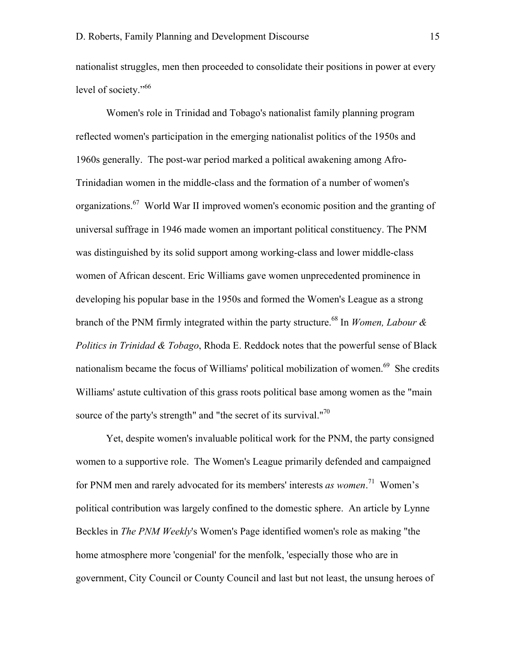nationalist struggles, men then proceeded to consolidate their positions in power at every level of society."<sup>66</sup>

Women's role in Trinidad and Tobago's nationalist family planning program reflected women's participation in the emerging nationalist politics of the 1950s and 1960s generally. The post-war period marked a political awakening among Afro-Trinidadian women in the middle-class and the formation of a number of women's organizations.<sup>67</sup> World War II improved women's economic position and the granting of universal suffrage in 1946 made women an important political constituency. The PNM was distinguished by its solid support among working-class and lower middle-class women of African descent. Eric Williams gave women unprecedented prominence in developing his popular base in the 1950s and formed the Women's League as a strong branch of the PNM firmly integrated within the party structure.<sup>68</sup> In *Women, Labour & Politics in Trinidad & Tobago*, Rhoda E. Reddock notes that the powerful sense of Black nationalism became the focus of Williams' political mobilization of women.<sup>69</sup> She credits Williams' astute cultivation of this grass roots political base among women as the "main source of the party's strength" and "the secret of its survival."<sup>70</sup>

Yet, despite women's invaluable political work for the PNM, the party consigned women to a supportive role. The Women's League primarily defended and campaigned for PNM men and rarely advocated for its members' interests *as women*. 71 Women's political contribution was largely confined to the domestic sphere. An article by Lynne Beckles in *The PNM Weekly*'s Women's Page identified women's role as making "the home atmosphere more 'congenial' for the menfolk, 'especially those who are in government, City Council or County Council and last but not least, the unsung heroes of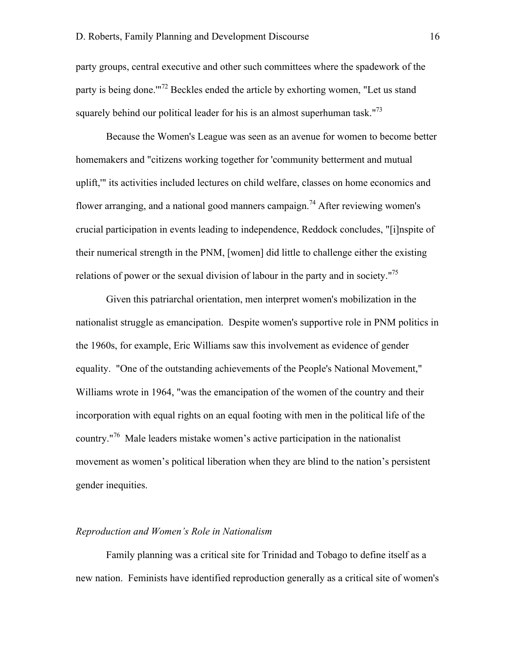party groups, central executive and other such committees where the spadework of the party is being done."<sup>72</sup> Beckles ended the article by exhorting women, "Let us stand squarely behind our political leader for his is an almost superhuman task."<sup>73</sup>

Because the Women's League was seen as an avenue for women to become better homemakers and "citizens working together for 'community betterment and mutual uplift,'" its activities included lectures on child welfare, classes on home economics and flower arranging, and a national good manners campaign.<sup>74</sup> After reviewing women's crucial participation in events leading to independence, Reddock concludes, "[i]nspite of their numerical strength in the PNM, [women] did little to challenge either the existing relations of power or the sexual division of labour in the party and in society."<sup>75</sup>

Given this patriarchal orientation, men interpret women's mobilization in the nationalist struggle as emancipation. Despite women's supportive role in PNM politics in the 1960s, for example, Eric Williams saw this involvement as evidence of gender equality. "One of the outstanding achievements of the People's National Movement," Williams wrote in 1964, "was the emancipation of the women of the country and their incorporation with equal rights on an equal footing with men in the political life of the country."<sup>76</sup> Male leaders mistake women's active participation in the nationalist movement as women's political liberation when they are blind to the nation's persistent gender inequities.

#### *Reproduction and Women's Role in Nationalism*

Family planning was a critical site for Trinidad and Tobago to define itself as a new nation. Feminists have identified reproduction generally as a critical site of women's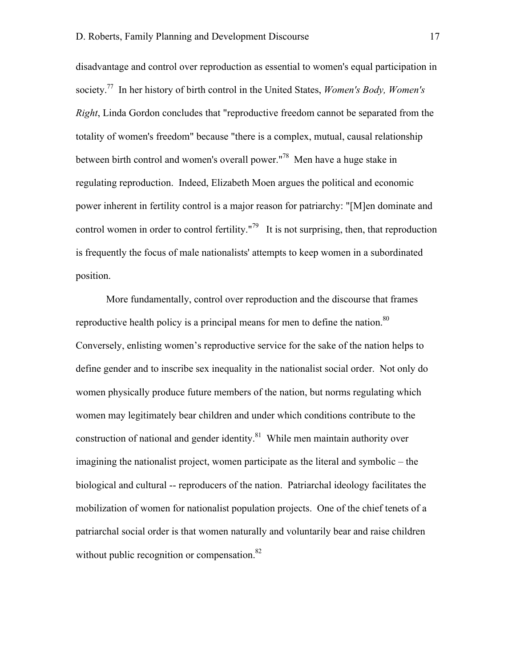disadvantage and control over reproduction as essential to women's equal participation in society.77 In her history of birth control in the United States, *Women's Body, Women's Right*, Linda Gordon concludes that "reproductive freedom cannot be separated from the totality of women's freedom" because "there is a complex, mutual, causal relationship between birth control and women's overall power."<sup>78</sup> Men have a huge stake in regulating reproduction. Indeed, Elizabeth Moen argues the political and economic power inherent in fertility control is a major reason for patriarchy: "[M]en dominate and control women in order to control fertility."<sup>79</sup> It is not surprising, then, that reproduction is frequently the focus of male nationalists' attempts to keep women in a subordinated position.

More fundamentally, control over reproduction and the discourse that frames reproductive health policy is a principal means for men to define the nation.<sup>80</sup> Conversely, enlisting women's reproductive service for the sake of the nation helps to define gender and to inscribe sex inequality in the nationalist social order. Not only do women physically produce future members of the nation, but norms regulating which women may legitimately bear children and under which conditions contribute to the construction of national and gender identity. $81$  While men maintain authority over imagining the nationalist project, women participate as the literal and symbolic – the biological and cultural -- reproducers of the nation. Patriarchal ideology facilitates the mobilization of women for nationalist population projects. One of the chief tenets of a patriarchal social order is that women naturally and voluntarily bear and raise children without public recognition or compensation.<sup>82</sup>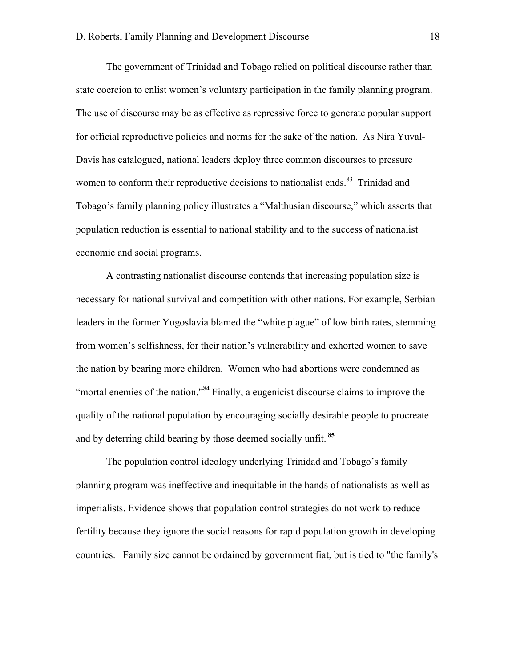The government of Trinidad and Tobago relied on political discourse rather than state coercion to enlist women's voluntary participation in the family planning program. The use of discourse may be as effective as repressive force to generate popular support for official reproductive policies and norms for the sake of the nation. As Nira Yuval-Davis has catalogued, national leaders deploy three common discourses to pressure women to conform their reproductive decisions to nationalist ends.<sup>83</sup> Trinidad and Tobago's family planning policy illustrates a "Malthusian discourse," which asserts that population reduction is essential to national stability and to the success of nationalist economic and social programs.

A contrasting nationalist discourse contends that increasing population size is necessary for national survival and competition with other nations. For example, Serbian leaders in the former Yugoslavia blamed the "white plague" of low birth rates, stemming from women's selfishness, for their nation's vulnerability and exhorted women to save the nation by bearing more children. Women who had abortions were condemned as "mortal enemies of the nation."<sup>84</sup> Finally, a eugenicist discourse claims to improve the quality of the national population by encouraging socially desirable people to procreate and by deterring child bearing by those deemed socially unfit. **<sup>85</sup>**

The population control ideology underlying Trinidad and Tobago's family planning program was ineffective and inequitable in the hands of nationalists as well as imperialists. Evidence shows that population control strategies do not work to reduce fertility because they ignore the social reasons for rapid population growth in developing countries. Family size cannot be ordained by government fiat, but is tied to "the family's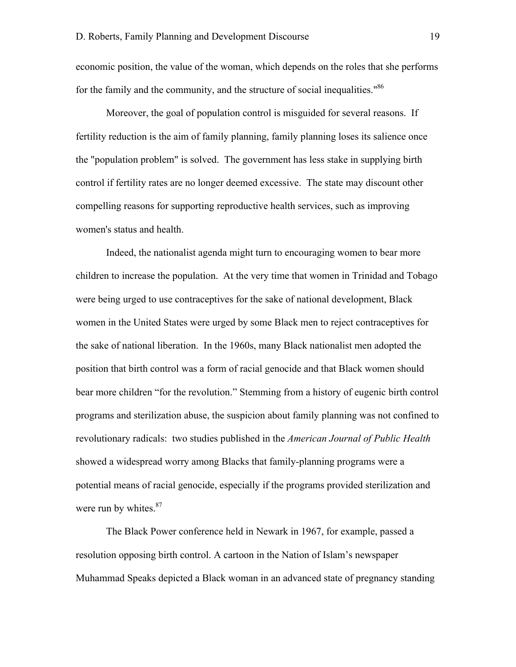economic position, the value of the woman, which depends on the roles that she performs for the family and the community, and the structure of social inequalities."<sup>86</sup>

Moreover, the goal of population control is misguided for several reasons. If fertility reduction is the aim of family planning, family planning loses its salience once the "population problem" is solved. The government has less stake in supplying birth control if fertility rates are no longer deemed excessive. The state may discount other compelling reasons for supporting reproductive health services, such as improving women's status and health.

Indeed, the nationalist agenda might turn to encouraging women to bear more children to increase the population. At the very time that women in Trinidad and Tobago were being urged to use contraceptives for the sake of national development, Black women in the United States were urged by some Black men to reject contraceptives for the sake of national liberation. In the 1960s, many Black nationalist men adopted the position that birth control was a form of racial genocide and that Black women should bear more children "for the revolution." Stemming from a history of eugenic birth control programs and sterilization abuse, the suspicion about family planning was not confined to revolutionary radicals: two studies published in the *American Journal of Public Health* showed a widespread worry among Blacks that family-planning programs were a potential means of racial genocide, especially if the programs provided sterilization and were run by whites. $87$ 

The Black Power conference held in Newark in 1967, for example, passed a resolution opposing birth control. A cartoon in the Nation of Islam's newspaper Muhammad Speaks depicted a Black woman in an advanced state of pregnancy standing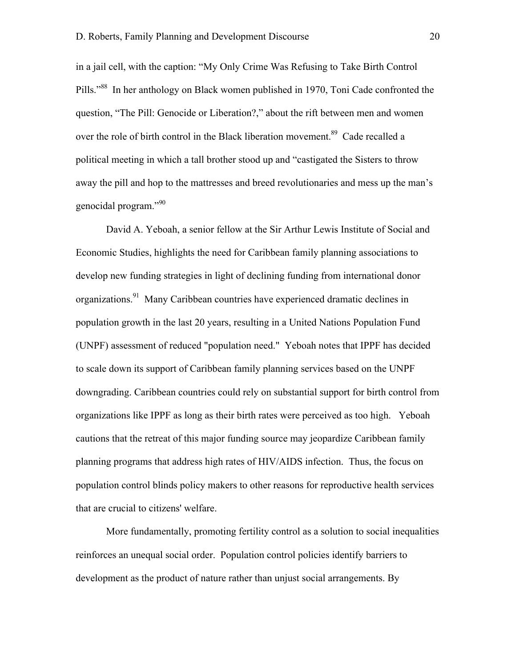in a jail cell, with the caption: "My Only Crime Was Refusing to Take Birth Control Pills."<sup>88</sup> In her anthology on Black women published in 1970, Toni Cade confronted the question, "The Pill: Genocide or Liberation?," about the rift between men and women over the role of birth control in the Black liberation movement.<sup>89</sup> Cade recalled a political meeting in which a tall brother stood up and "castigated the Sisters to throw away the pill and hop to the mattresses and breed revolutionaries and mess up the man's genocidal program."90

David A. Yeboah, a senior fellow at the Sir Arthur Lewis Institute of Social and Economic Studies, highlights the need for Caribbean family planning associations to develop new funding strategies in light of declining funding from international donor organizations.<sup>91</sup> Many Caribbean countries have experienced dramatic declines in population growth in the last 20 years, resulting in a United Nations Population Fund (UNPF) assessment of reduced "population need." Yeboah notes that IPPF has decided to scale down its support of Caribbean family planning services based on the UNPF downgrading. Caribbean countries could rely on substantial support for birth control from organizations like IPPF as long as their birth rates were perceived as too high. Yeboah cautions that the retreat of this major funding source may jeopardize Caribbean family planning programs that address high rates of HIV/AIDS infection. Thus, the focus on population control blinds policy makers to other reasons for reproductive health services that are crucial to citizens' welfare.

More fundamentally, promoting fertility control as a solution to social inequalities reinforces an unequal social order. Population control policies identify barriers to development as the product of nature rather than unjust social arrangements. By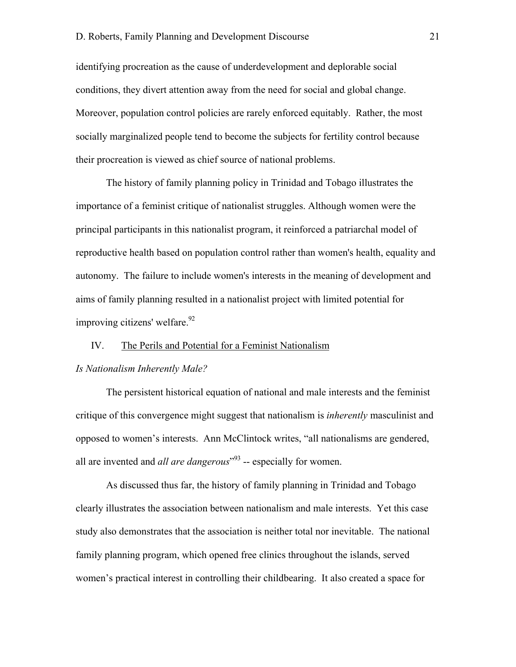identifying procreation as the cause of underdevelopment and deplorable social conditions, they divert attention away from the need for social and global change. Moreover, population control policies are rarely enforced equitably. Rather, the most socially marginalized people tend to become the subjects for fertility control because their procreation is viewed as chief source of national problems.

The history of family planning policy in Trinidad and Tobago illustrates the importance of a feminist critique of nationalist struggles. Although women were the principal participants in this nationalist program, it reinforced a patriarchal model of reproductive health based on population control rather than women's health, equality and autonomy. The failure to include women's interests in the meaning of development and aims of family planning resulted in a nationalist project with limited potential for improving citizens' welfare.<sup>92</sup>

# IV. The Perils and Potential for a Feminist Nationalism

# *Is Nationalism Inherently Male?*

The persistent historical equation of national and male interests and the feminist critique of this convergence might suggest that nationalism is *inherently* masculinist and opposed to women's interests. Ann McClintock writes, "all nationalisms are gendered, all are invented and *all are dangerous*<sup>"93</sup> -- especially for women.

As discussed thus far, the history of family planning in Trinidad and Tobago clearly illustrates the association between nationalism and male interests. Yet this case study also demonstrates that the association is neither total nor inevitable. The national family planning program, which opened free clinics throughout the islands, served women's practical interest in controlling their childbearing. It also created a space for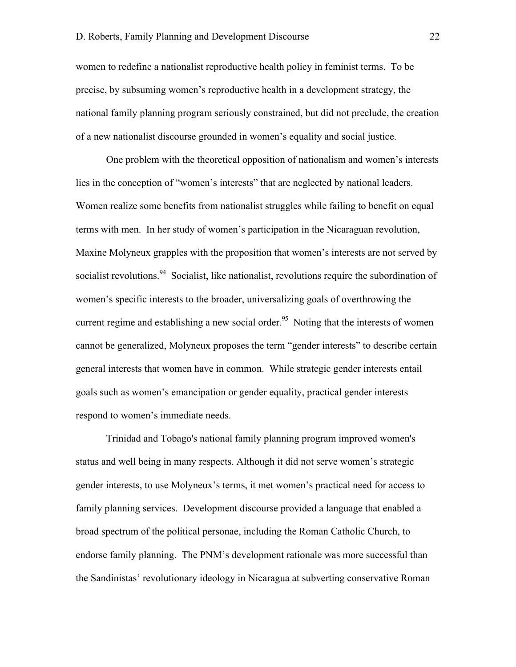women to redefine a nationalist reproductive health policy in feminist terms. To be precise, by subsuming women's reproductive health in a development strategy, the national family planning program seriously constrained, but did not preclude, the creation of a new nationalist discourse grounded in women's equality and social justice.

One problem with the theoretical opposition of nationalism and women's interests lies in the conception of "women's interests" that are neglected by national leaders. Women realize some benefits from nationalist struggles while failing to benefit on equal terms with men. In her study of women's participation in the Nicaraguan revolution, Maxine Molyneux grapples with the proposition that women's interests are not served by socialist revolutions.<sup>94</sup> Socialist, like nationalist, revolutions require the subordination of women's specific interests to the broader, universalizing goals of overthrowing the current regime and establishing a new social order.<sup>95</sup> Noting that the interests of women cannot be generalized, Molyneux proposes the term "gender interests" to describe certain general interests that women have in common. While strategic gender interests entail goals such as women's emancipation or gender equality, practical gender interests respond to women's immediate needs.

Trinidad and Tobago's national family planning program improved women's status and well being in many respects. Although it did not serve women's strategic gender interests, to use Molyneux's terms, it met women's practical need for access to family planning services. Development discourse provided a language that enabled a broad spectrum of the political personae, including the Roman Catholic Church, to endorse family planning. The PNM's development rationale was more successful than the Sandinistas' revolutionary ideology in Nicaragua at subverting conservative Roman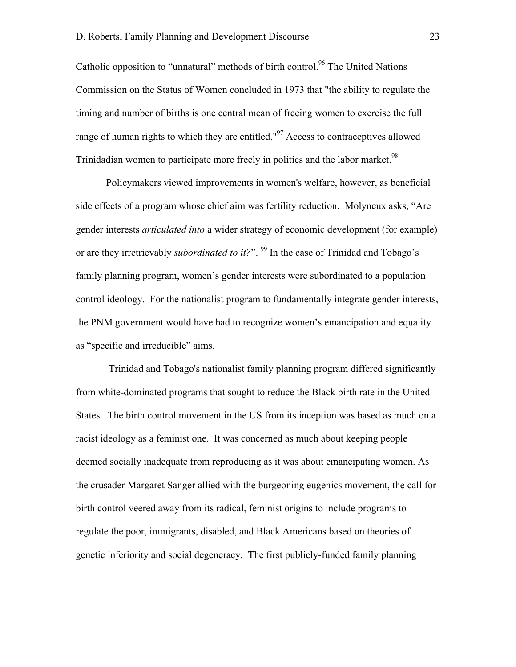Catholic opposition to "unnatural" methods of birth control.<sup>96</sup> The United Nations Commission on the Status of Women concluded in 1973 that "the ability to regulate the timing and number of births is one central mean of freeing women to exercise the full range of human rights to which they are entitled." $97$  Access to contraceptives allowed Trinidadian women to participate more freely in politics and the labor market.<sup>98</sup>

Policymakers viewed improvements in women's welfare, however, as beneficial side effects of a program whose chief aim was fertility reduction. Molyneux asks, "Are gender interests *articulated into* a wider strategy of economic development (for example) or are they irretrievably *subordinated to it?*". <sup>99</sup> In the case of Trinidad and Tobago's family planning program, women's gender interests were subordinated to a population control ideology. For the nationalist program to fundamentally integrate gender interests, the PNM government would have had to recognize women's emancipation and equality as "specific and irreducible" aims.

 Trinidad and Tobago's nationalist family planning program differed significantly from white-dominated programs that sought to reduce the Black birth rate in the United States. The birth control movement in the US from its inception was based as much on a racist ideology as a feminist one. It was concerned as much about keeping people deemed socially inadequate from reproducing as it was about emancipating women. As the crusader Margaret Sanger allied with the burgeoning eugenics movement, the call for birth control veered away from its radical, feminist origins to include programs to regulate the poor, immigrants, disabled, and Black Americans based on theories of genetic inferiority and social degeneracy. The first publicly-funded family planning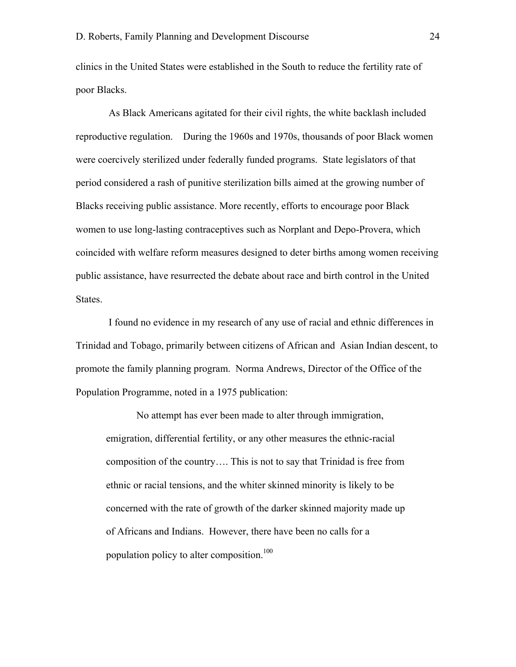clinics in the United States were established in the South to reduce the fertility rate of poor Blacks.

 As Black Americans agitated for their civil rights, the white backlash included reproductive regulation. During the 1960s and 1970s, thousands of poor Black women were coercively sterilized under federally funded programs. State legislators of that period considered a rash of punitive sterilization bills aimed at the growing number of Blacks receiving public assistance. More recently, efforts to encourage poor Black women to use long-lasting contraceptives such as Norplant and Depo-Provera, which coincided with welfare reform measures designed to deter births among women receiving public assistance, have resurrected the debate about race and birth control in the United States.

 I found no evidence in my research of any use of racial and ethnic differences in Trinidad and Tobago, primarily between citizens of African and Asian Indian descent, to promote the family planning program. Norma Andrews, Director of the Office of the Population Programme, noted in a 1975 publication:

No attempt has ever been made to alter through immigration, emigration, differential fertility, or any other measures the ethnic-racial composition of the country…. This is not to say that Trinidad is free from ethnic or racial tensions, and the whiter skinned minority is likely to be concerned with the rate of growth of the darker skinned majority made up of Africans and Indians. However, there have been no calls for a population policy to alter composition.<sup>100</sup>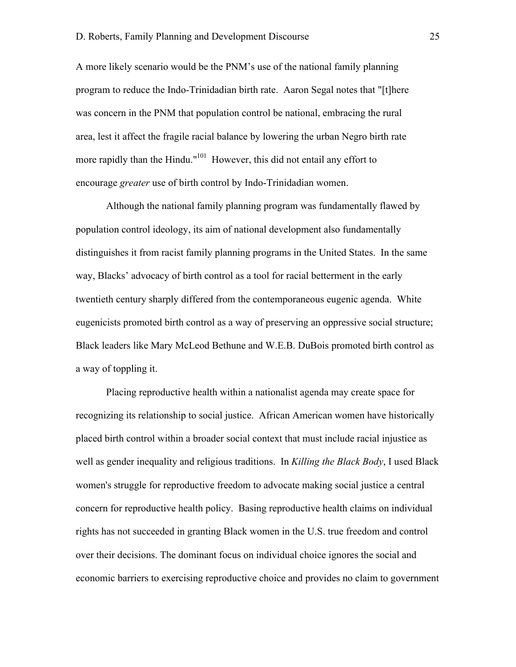A more likely scenario would be the PNM's use of the national family planning program to reduce the Indo-Trinidadian birth rate. Aaron Segal notes that "[t]here was concern in the PNM that population control be national, embracing the rural area, lest it affect the fragile racial balance by lowering the urban Negro birth rate more rapidly than the Hindu."<sup>101</sup> However, this did not entail any effort to encourage *greater* use of birth control by Indo-Trinidadian women.

Although the national family planning program was fundamentally flawed by population control ideology, its aim of national development also fundamentally distinguishes it from racist family planning programs in the United States. In the same way, Blacks' advocacy of birth control as a tool for racial betterment in the early twentieth century sharply differed from the contemporaneous eugenic agenda. White eugenicists promoted birth control as a way of preserving an oppressive social structure; Black leaders like Mary McLeod Bethune and W.E.B. DuBois promoted birth control as a way of toppling it.

Placing reproductive health within a nationalist agenda may create space for recognizing its relationship to social justice. African American women have historically placed birth control within a broader social context that must include racial injustice as well as gender inequality and religious traditions. In *Killing the Black Body*, I used Black women's struggle for reproductive freedom to advocate making social justice a central concern for reproductive health policy. Basing reproductive health claims on individual rights has not succeeded in granting Black women in the U.S. true freedom and control over their decisions. The dominant focus on individual choice ignores the social and economic barriers to exercising reproductive choice and provides no claim to government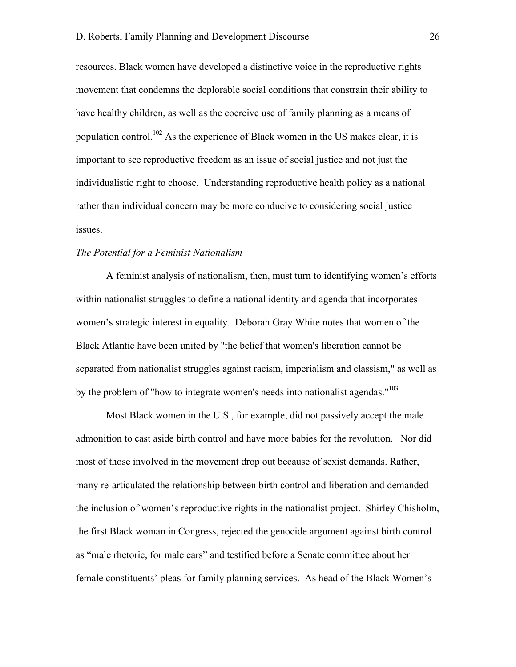resources. Black women have developed a distinctive voice in the reproductive rights movement that condemns the deplorable social conditions that constrain their ability to have healthy children, as well as the coercive use of family planning as a means of population control.<sup>102</sup> As the experience of Black women in the US makes clear, it is important to see reproductive freedom as an issue of social justice and not just the individualistic right to choose. Understanding reproductive health policy as a national rather than individual concern may be more conducive to considering social justice issues.

#### *The Potential for a Feminist Nationalism*

A feminist analysis of nationalism, then, must turn to identifying women's efforts within nationalist struggles to define a national identity and agenda that incorporates women's strategic interest in equality. Deborah Gray White notes that women of the Black Atlantic have been united by "the belief that women's liberation cannot be separated from nationalist struggles against racism, imperialism and classism," as well as by the problem of "how to integrate women's needs into nationalist agendas."<sup>103</sup>

Most Black women in the U.S., for example, did not passively accept the male admonition to cast aside birth control and have more babies for the revolution. Nor did most of those involved in the movement drop out because of sexist demands. Rather, many re-articulated the relationship between birth control and liberation and demanded the inclusion of women's reproductive rights in the nationalist project. Shirley Chisholm, the first Black woman in Congress, rejected the genocide argument against birth control as "male rhetoric, for male ears" and testified before a Senate committee about her female constituents' pleas for family planning services. As head of the Black Women's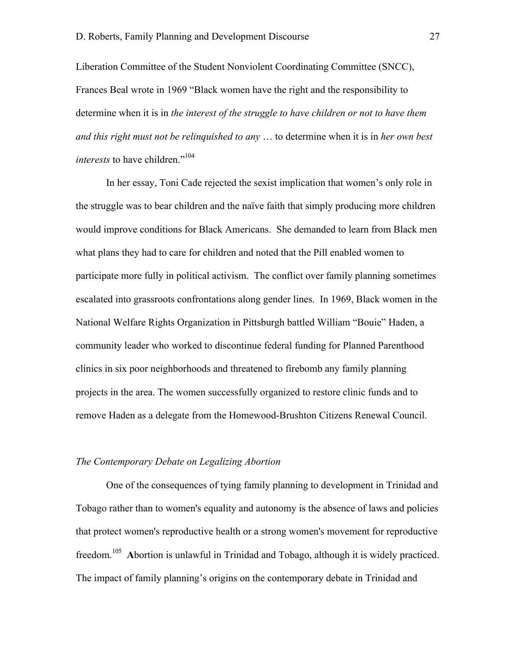Liberation Committee of the Student Nonviolent Coordinating Committee (SNCC), Frances Beal wrote in 1969 "Black women have the right and the responsibility to determine when it is in *the interest of the struggle to have children or not to have them and this right must not be relinquished to any* … to determine when it is in *her own best interests* to have children."<sup>104</sup>

In her essay, Toni Cade rejected the sexist implication that women's only role in the struggle was to bear children and the naïve faith that simply producing more children would improve conditions for Black Americans. She demanded to learn from Black men what plans they had to care for children and noted that the Pill enabled women to participate more fully in political activism. The conflict over family planning sometimes escalated into grassroots confrontations along gender lines. In 1969, Black women in the National Welfare Rights Organization in Pittsburgh battled William "Bouie" Haden, a community leader who worked to discontinue federal funding for Planned Parenthood clinics in six poor neighborhoods and threatened to firebomb any family planning projects in the area. The women successfully organized to restore clinic funds and to remove Haden as a delegate from the Homewood-Brushton Citizens Renewal Council.

#### *The Contemporary Debate on Legalizing Abortion*

One of the consequences of tying family planning to development in Trinidad and Tobago rather than to women's equality and autonomy is the absence of laws and policies that protect women's reproductive health or a strong women's movement for reproductive freedom.<sup>105</sup> Abortion is unlawful in Trinidad and Tobago, although it is widely practiced. The impact of family planning's origins on the contemporary debate in Trinidad and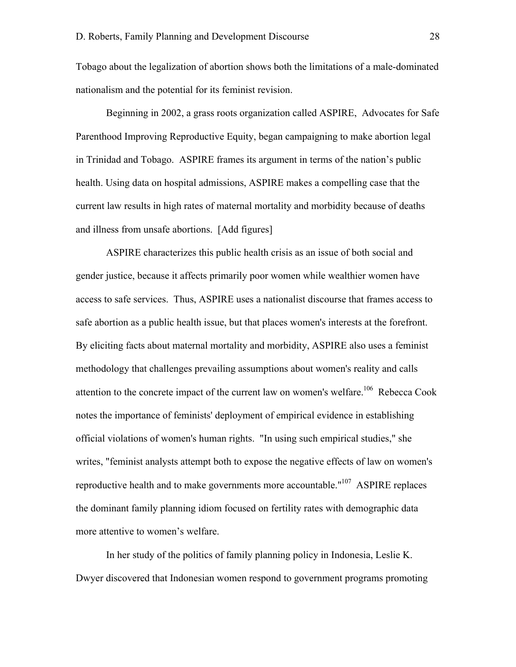Tobago about the legalization of abortion shows both the limitations of a male-dominated nationalism and the potential for its feminist revision.

Beginning in 2002, a grass roots organization called ASPIRE, Advocates for Safe Parenthood Improving Reproductive Equity, began campaigning to make abortion legal in Trinidad and Tobago. ASPIRE frames its argument in terms of the nation's public health. Using data on hospital admissions, ASPIRE makes a compelling case that the current law results in high rates of maternal mortality and morbidity because of deaths and illness from unsafe abortions. [Add figures]

ASPIRE characterizes this public health crisis as an issue of both social and gender justice, because it affects primarily poor women while wealthier women have access to safe services. Thus, ASPIRE uses a nationalist discourse that frames access to safe abortion as a public health issue, but that places women's interests at the forefront. By eliciting facts about maternal mortality and morbidity, ASPIRE also uses a feminist methodology that challenges prevailing assumptions about women's reality and calls attention to the concrete impact of the current law on women's welfare.<sup>106</sup> Rebecca Cook notes the importance of feminists' deployment of empirical evidence in establishing official violations of women's human rights. "In using such empirical studies," she writes, "feminist analysts attempt both to expose the negative effects of law on women's reproductive health and to make governments more accountable."<sup>107</sup> ASPIRE replaces the dominant family planning idiom focused on fertility rates with demographic data more attentive to women's welfare.

In her study of the politics of family planning policy in Indonesia, Leslie K. Dwyer discovered that Indonesian women respond to government programs promoting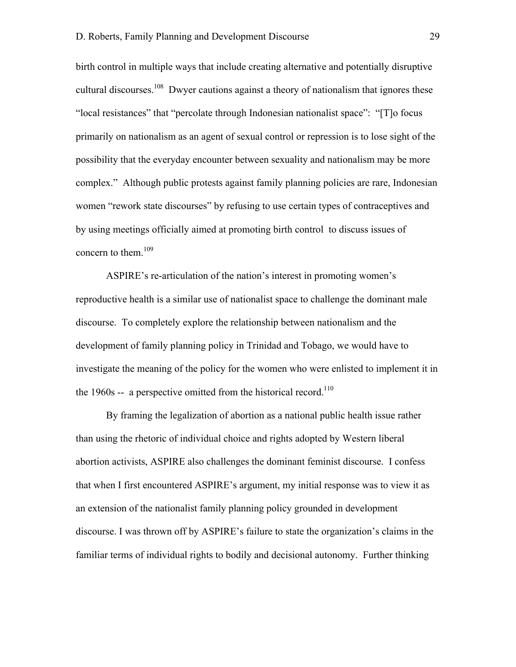birth control in multiple ways that include creating alternative and potentially disruptive cultural discourses.<sup>108</sup> Dwyer cautions against a theory of nationalism that ignores these "local resistances" that "percolate through Indonesian nationalist space": "[T]o focus primarily on nationalism as an agent of sexual control or repression is to lose sight of the possibility that the everyday encounter between sexuality and nationalism may be more complex." Although public protests against family planning policies are rare, Indonesian women "rework state discourses" by refusing to use certain types of contraceptives and by using meetings officially aimed at promoting birth control to discuss issues of concern to them. $109$ 

ASPIRE's re-articulation of the nation's interest in promoting women's reproductive health is a similar use of nationalist space to challenge the dominant male discourse. To completely explore the relationship between nationalism and the development of family planning policy in Trinidad and Tobago, we would have to investigate the meaning of the policy for the women who were enlisted to implement it in the 1960s -- a perspective omitted from the historical record.<sup>110</sup>

By framing the legalization of abortion as a national public health issue rather than using the rhetoric of individual choice and rights adopted by Western liberal abortion activists, ASPIRE also challenges the dominant feminist discourse. I confess that when I first encountered ASPIRE's argument, my initial response was to view it as an extension of the nationalist family planning policy grounded in development discourse. I was thrown off by ASPIRE's failure to state the organization's claims in the familiar terms of individual rights to bodily and decisional autonomy. Further thinking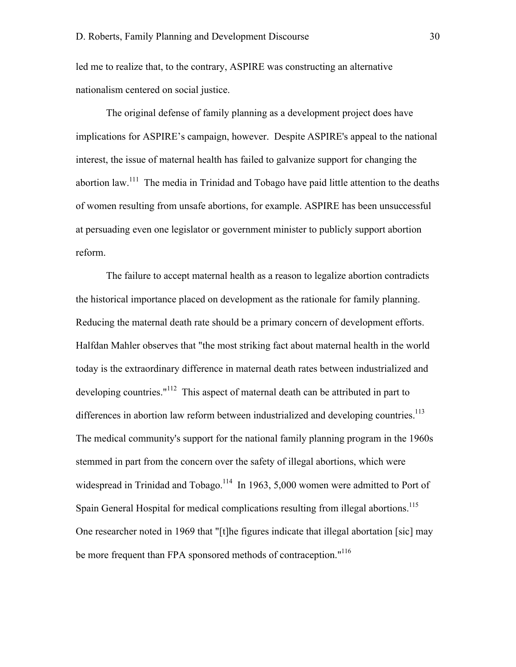led me to realize that, to the contrary, ASPIRE was constructing an alternative nationalism centered on social justice.

The original defense of family planning as a development project does have implications for ASPIRE's campaign, however. Despite ASPIRE's appeal to the national interest, the issue of maternal health has failed to galvanize support for changing the abortion law.<sup>111</sup> The media in Trinidad and Tobago have paid little attention to the deaths of women resulting from unsafe abortions, for example. ASPIRE has been unsuccessful at persuading even one legislator or government minister to publicly support abortion reform.

The failure to accept maternal health as a reason to legalize abortion contradicts the historical importance placed on development as the rationale for family planning. Reducing the maternal death rate should be a primary concern of development efforts. Halfdan Mahler observes that "the most striking fact about maternal health in the world today is the extraordinary difference in maternal death rates between industrialized and developing countries."<sup>112</sup> This aspect of maternal death can be attributed in part to differences in abortion law reform between industrialized and developing countries.<sup>113</sup> The medical community's support for the national family planning program in the 1960s stemmed in part from the concern over the safety of illegal abortions, which were widespread in Trinidad and Tobago.<sup>114</sup> In 1963, 5,000 women were admitted to Port of Spain General Hospital for medical complications resulting from illegal abortions.<sup>115</sup> One researcher noted in 1969 that "[t]he figures indicate that illegal abortation [sic] may be more frequent than FPA sponsored methods of contraception."<sup>116</sup>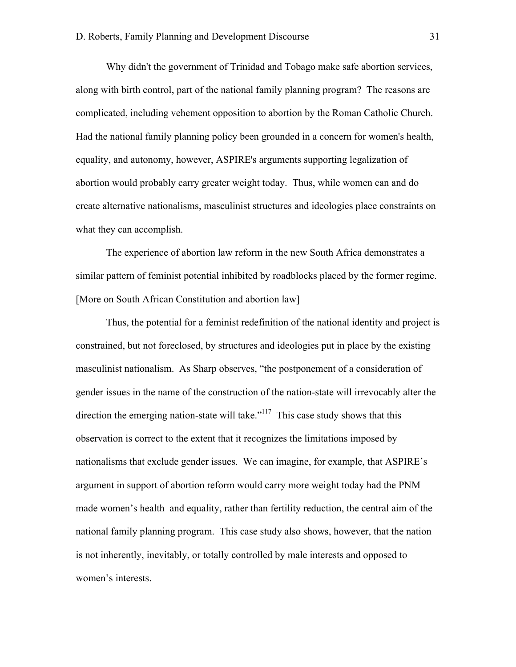Why didn't the government of Trinidad and Tobago make safe abortion services, along with birth control, part of the national family planning program? The reasons are complicated, including vehement opposition to abortion by the Roman Catholic Church. Had the national family planning policy been grounded in a concern for women's health, equality, and autonomy, however, ASPIRE's arguments supporting legalization of abortion would probably carry greater weight today. Thus, while women can and do create alternative nationalisms, masculinist structures and ideologies place constraints on what they can accomplish.

The experience of abortion law reform in the new South Africa demonstrates a similar pattern of feminist potential inhibited by roadblocks placed by the former regime. [More on South African Constitution and abortion law]

Thus, the potential for a feminist redefinition of the national identity and project is constrained, but not foreclosed, by structures and ideologies put in place by the existing masculinist nationalism. As Sharp observes, "the postponement of a consideration of gender issues in the name of the construction of the nation-state will irrevocably alter the direction the emerging nation-state will take." $117$  This case study shows that this observation is correct to the extent that it recognizes the limitations imposed by nationalisms that exclude gender issues. We can imagine, for example, that ASPIRE's argument in support of abortion reform would carry more weight today had the PNM made women's health and equality, rather than fertility reduction, the central aim of the national family planning program. This case study also shows, however, that the nation is not inherently, inevitably, or totally controlled by male interests and opposed to women's interests.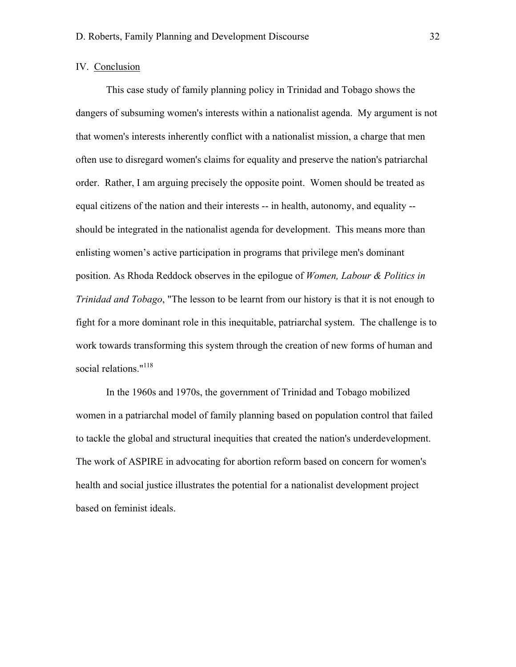## IV. Conclusion

This case study of family planning policy in Trinidad and Tobago shows the dangers of subsuming women's interests within a nationalist agenda. My argument is not that women's interests inherently conflict with a nationalist mission, a charge that men often use to disregard women's claims for equality and preserve the nation's patriarchal order. Rather, I am arguing precisely the opposite point. Women should be treated as equal citizens of the nation and their interests -- in health, autonomy, and equality - should be integrated in the nationalist agenda for development. This means more than enlisting women's active participation in programs that privilege men's dominant position. As Rhoda Reddock observes in the epilogue of *Women, Labour & Politics in Trinidad and Tobago*, "The lesson to be learnt from our history is that it is not enough to fight for a more dominant role in this inequitable, patriarchal system. The challenge is to work towards transforming this system through the creation of new forms of human and social relations."<sup>118</sup>

In the 1960s and 1970s, the government of Trinidad and Tobago mobilized women in a patriarchal model of family planning based on population control that failed to tackle the global and structural inequities that created the nation's underdevelopment. The work of ASPIRE in advocating for abortion reform based on concern for women's health and social justice illustrates the potential for a nationalist development project based on feminist ideals.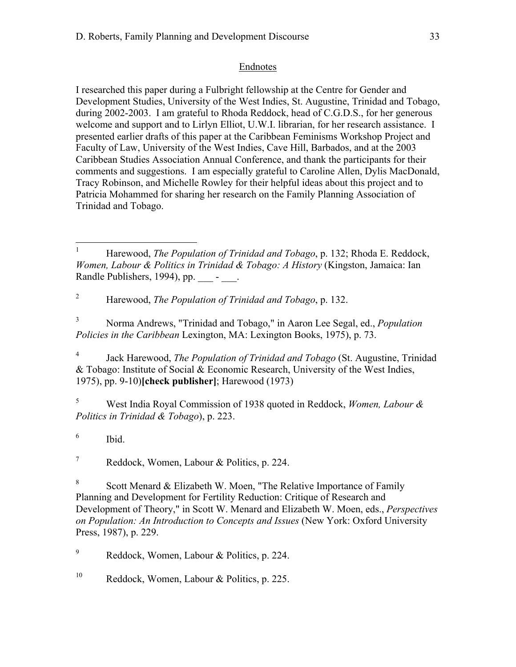## Endnotes

I researched this paper during a Fulbright fellowship at the Centre for Gender and Development Studies, University of the West Indies, St. Augustine, Trinidad and Tobago, during 2002-2003. I am grateful to Rhoda Reddock, head of C.G.D.S., for her generous welcome and support and to Lirlyn Elliot, U.W.I. librarian, for her research assistance. I presented earlier drafts of this paper at the Caribbean Feminisms Workshop Project and Faculty of Law, University of the West Indies, Cave Hill, Barbados, and at the 2003 Caribbean Studies Association Annual Conference, and thank the participants for their comments and suggestions. I am especially grateful to Caroline Allen, Dylis MacDonald, Tracy Robinson, and Michelle Rowley for their helpful ideas about this project and to Patricia Mohammed for sharing her research on the Family Planning Association of Trinidad and Tobago.

<sup>2</sup> Harewood, *The Population of Trinidad and Tobago*, p. 132.

<sup>3</sup> Norma Andrews, "Trinidad and Tobago," in Aaron Lee Segal, ed., *Population Policies in the Caribbean* Lexington, MA: Lexington Books, 1975), p. 73.

<sup>4</sup> Jack Harewood, *The Population of Trinidad and Tobago* (St. Augustine, Trinidad & Tobago: Institute of Social & Economic Research, University of the West Indies, 1975), pp. 9-10)**[check publisher]**; Harewood (1973)

<sup>5</sup> West India Royal Commission of 1938 quoted in Reddock, *Women, Labour & Politics in Trinidad & Tobago*), p. 223.

<sup>6</sup> Ibid.

 $7$  Reddock, Women, Labour & Politics, p. 224.

<sup>8</sup> Scott Menard & Elizabeth W. Moen, "The Relative Importance of Family Planning and Development for Fertility Reduction: Critique of Research and Development of Theory," in Scott W. Menard and Elizabeth W. Moen, eds., *Perspectives on Population: An Introduction to Concepts and Issues* (New York: Oxford University Press, 1987), p. 229.

 $^{9}$  Reddock, Women, Labour & Politics, p. 224.

<sup>10</sup> Reddock, Women, Labour & Politics, p. 225.

<sup>&</sup>lt;sup>1</sup> Harewood, *The Population of Trinidad and Tobago*, p. 132; Rhoda E. Reddock, *Women, Labour & Politics in Trinidad & Tobago: A History* (Kingston, Jamaica: Ian Randle Publishers, 1994), pp. \_\_\_ - \_\_\_.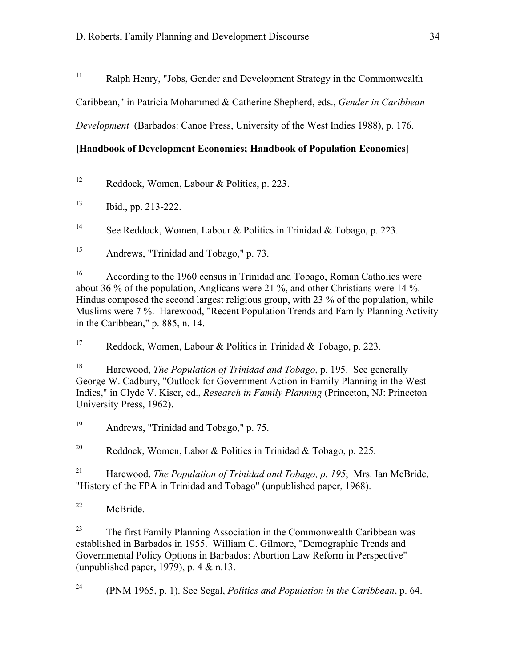<sup>11</sup> Ralph Henry, "Jobs, Gender and Development Strategy in the Commonwealth

Caribbean," in Patricia Mohammed & Catherine Shepherd, eds., *Gender in Caribbean*

*Development* (Barbados: Canoe Press, University of the West Indies 1988), p. 176.

# **[Handbook of Development Economics; Handbook of Population Economics]**

<sup>12</sup> Reddock, Women, Labour & Politics, p. 223.

 $13$  Ibid., pp. 213-222.

<sup>14</sup> See Reddock, Women, Labour & Politics in Trinidad & Tobago, p. 223.

<sup>15</sup> Andrews, "Trinidad and Tobago," p. 73.

<sup>16</sup> According to the 1960 census in Trinidad and Tobago, Roman Catholics were about 36 % of the population, Anglicans were 21 %, and other Christians were 14 %. Hindus composed the second largest religious group, with 23 % of the population, while Muslims were 7 %. Harewood, "Recent Population Trends and Family Planning Activity in the Caribbean," p. 885, n. 14.

<sup>17</sup> Reddock, Women, Labour & Politics in Trinidad & Tobago, p. 223.

<sup>18</sup> Harewood, *The Population of Trinidad and Tobago*, p. 195. See generally George W. Cadbury, "Outlook for Government Action in Family Planning in the West Indies," in Clyde V. Kiser, ed., *Research in Family Planning* (Princeton, NJ: Princeton University Press, 1962).

<sup>19</sup> Andrews, "Trinidad and Tobago," p. 75.

<sup>20</sup> Reddock, Women, Labor & Politics in Trinidad & Tobago, p. 225.

<sup>21</sup> Harewood, *The Population of Trinidad and Tobago, p. 195*; Mrs. Ian McBride, "History of the FPA in Trinidad and Tobago" (unpublished paper, 1968).

<sup>22</sup> McBride.

<sup>23</sup> The first Family Planning Association in the Commonwealth Caribbean was established in Barbados in 1955. William C. Gilmore, "Demographic Trends and Governmental Policy Options in Barbados: Abortion Law Reform in Perspective" (unpublished paper, 1979), p. 4 & n.13.

<sup>24</sup> (PNM 1965, p. 1). See Segal, *Politics and Population in the Caribbean*, p. 64.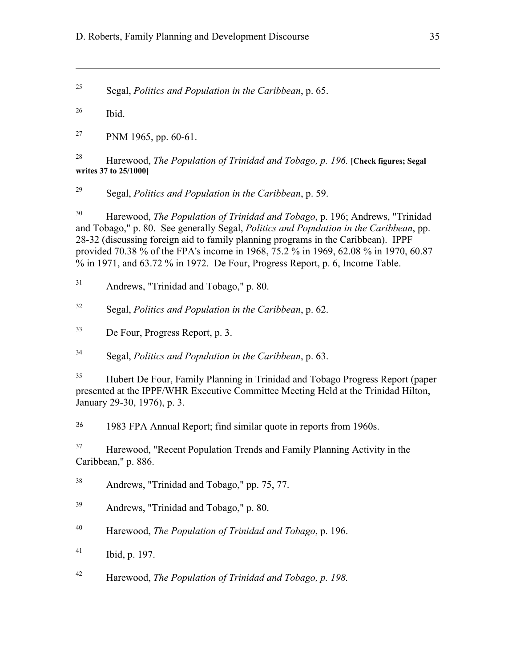<sup>25</sup> Segal, *Politics and Population in the Caribbean*, p. 65.

 $^{26}$  Ibid.

 $\overline{a}$ 

 $^{27}$  PNM 1965, pp. 60-61.

<sup>28</sup> Harewood, *The Population of Trinidad and Tobago, p. 196.* **[Check figures; Segal writes 37 to 25/1000]**

<sup>29</sup> Segal, *Politics and Population in the Caribbean*, p. 59.

<sup>30</sup> Harewood, *The Population of Trinidad and Tobago*, p. 196; Andrews, "Trinidad and Tobago," p. 80. See generally Segal, *Politics and Population in the Caribbean*, pp. 28-32 (discussing foreign aid to family planning programs in the Caribbean). IPPF provided 70.38 % of the FPA's income in 1968, 75.2 % in 1969, 62.08 % in 1970, 60.87 % in 1971, and 63.72 % in 1972. De Four, Progress Report, p. 6, Income Table.

<sup>31</sup> Andrews, "Trinidad and Tobago," p. 80.

<sup>32</sup> Segal, *Politics and Population in the Caribbean*, p. 62.

<sup>33</sup> De Four, Progress Report, p. 3.

<sup>34</sup> Segal, *Politics and Population in the Caribbean*, p. 63.

<sup>35</sup> Hubert De Four, Family Planning in Trinidad and Tobago Progress Report (paper presented at the IPPF/WHR Executive Committee Meeting Held at the Trinidad Hilton, January 29-30, 1976), p. 3.

<sup>36</sup> 1983 FPA Annual Report; find similar quote in reports from 1960s.

<sup>37</sup> Harewood, "Recent Population Trends and Family Planning Activity in the Caribbean," p. 886.

<sup>38</sup> Andrews, "Trinidad and Tobago," pp. 75, 77.

<sup>39</sup> Andrews, "Trinidad and Tobago," p. 80.

<sup>40</sup> Harewood, *The Population of Trinidad and Tobago*, p. 196.

 $^{41}$  Ibid, p. 197.

<sup>42</sup> Harewood, *The Population of Trinidad and Tobago, p. 198.*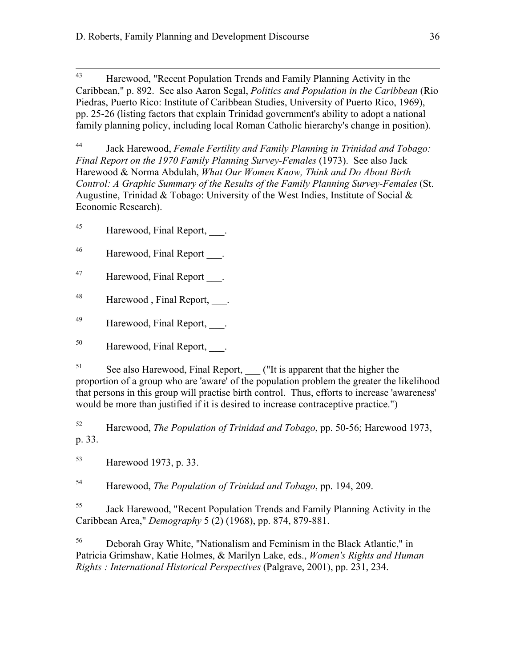<sup>43</sup> Harewood, "Recent Population Trends and Family Planning Activity in the Caribbean," p. 892. See also Aaron Segal, *Politics and Population in the Caribbean* (Rio Piedras, Puerto Rico: Institute of Caribbean Studies, University of Puerto Rico, 1969), pp. 25-26 (listing factors that explain Trinidad government's ability to adopt a national family planning policy, including local Roman Catholic hierarchy's change in position).

<sup>44</sup> Jack Harewood, *Female Fertility and Family Planning in Trinidad and Tobago: Final Report on the 1970 Family Planning Survey-Females* (1973). See also Jack Harewood & Norma Abdulah, *What Our Women Know, Think and Do About Birth Control: A Graphic Summary of the Results of the Family Planning Survey-Females* (St. Augustine, Trinidad & Tobago: University of the West Indies, Institute of Social  $\&$ Economic Research).

 $^{45}$  Harewood, Final Report, \_\_\_.

- 46 Harewood, Final Report .
- 47 Harewood, Final Report .

48 Harewood, Final Report, \_\_\_.

49 Harewood, Final Report, .

<sup>50</sup> Harewood, Final Report, .

 $51$  See also Harewood, Final Report, ("It is apparent that the higher the proportion of a group who are 'aware' of the population problem the greater the likelihood that persons in this group will practise birth control. Thus, efforts to increase 'awareness' would be more than justified if it is desired to increase contraceptive practice.")

<sup>52</sup> Harewood, *The Population of Trinidad and Tobago*, pp. 50-56; Harewood 1973, p. 33.

<sup>53</sup> Harewood 1973, p. 33.

<sup>54</sup> Harewood, *The Population of Trinidad and Tobago*, pp. 194, 209.

<sup>55</sup> Jack Harewood, "Recent Population Trends and Family Planning Activity in the Caribbean Area," *Demography* 5 (2) (1968), pp. 874, 879-881.

<sup>56</sup> Deborah Gray White, "Nationalism and Feminism in the Black Atlantic," in Patricia Grimshaw, Katie Holmes, & Marilyn Lake, eds., *Women's Rights and Human Rights : International Historical Perspectives* (Palgrave, 2001), pp. 231, 234.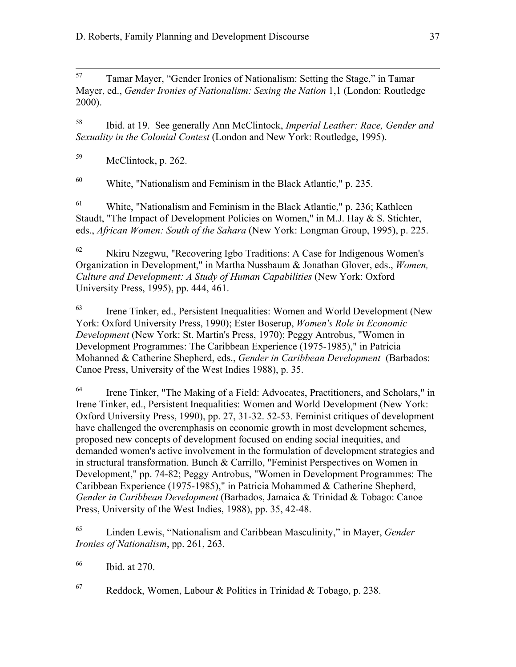<sup>57</sup> Tamar Mayer, "Gender Ironies of Nationalism: Setting the Stage," in Tamar Mayer, ed., *Gender Ironies of Nationalism: Sexing the Nation* 1,1 (London: Routledge 2000).

<sup>58</sup> Ibid. at 19. See generally Ann McClintock, *Imperial Leather: Race, Gender and Sexuality in the Colonial Contest* (London and New York: Routledge, 1995).

<sup>59</sup> McClintock, p. 262.

 $60$  White, "Nationalism and Feminism in the Black Atlantic," p. 235.

 $61$  White, "Nationalism and Feminism in the Black Atlantic," p. 236; Kathleen Staudt, "The Impact of Development Policies on Women," in M.J. Hay & S. Stichter, eds., *African Women: South of the Sahara* (New York: Longman Group, 1995), p. 225.

 $62$  Nkiru Nzegwu, "Recovering Igbo Traditions: A Case for Indigenous Women's Organization in Development," in Martha Nussbaum & Jonathan Glover, eds., *Women, Culture and Development: A Study of Human Capabilities (New York: Oxford* University Press, 1995), pp. 444, 461.

<sup>63</sup> Irene Tinker, ed., Persistent Inequalities: Women and World Development (New York: Oxford University Press, 1990); Ester Boserup, *Women's Role in Economic Development* (New York: St. Martin's Press, 1970); Peggy Antrobus, "Women in Development Programmes: The Caribbean Experience (1975-1985)," in Patricia Mohanned & Catherine Shepherd, eds., *Gender in Caribbean Development* (Barbados: Canoe Press, University of the West Indies 1988), p. 35.

<sup>64</sup> Irene Tinker, "The Making of a Field: Advocates, Practitioners, and Scholars," in Irene Tinker, ed., Persistent Inequalities: Women and World Development (New York: Oxford University Press, 1990), pp. 27, 31-32. 52-53. Feminist critiques of development have challenged the overemphasis on economic growth in most development schemes, proposed new concepts of development focused on ending social inequities, and demanded women's active involvement in the formulation of development strategies and in structural transformation. Bunch & Carrillo, "Feminist Perspectives on Women in Development," pp. 74-82; Peggy Antrobus, "Women in Development Programmes: The Caribbean Experience (1975-1985)," in Patricia Mohammed & Catherine Shepherd, *Gender in Caribbean Development* (Barbados, Jamaica & Trinidad & Tobago: Canoe Press, University of the West Indies, 1988), pp. 35, 42-48.

<sup>65</sup> Linden Lewis, "Nationalism and Caribbean Masculinity," in Mayer, *Gender Ironies of Nationalism*, pp. 261, 263.

<sup>66</sup> Ibid. at 270.

 $67$  Reddock, Women, Labour & Politics in Trinidad & Tobago, p. 238.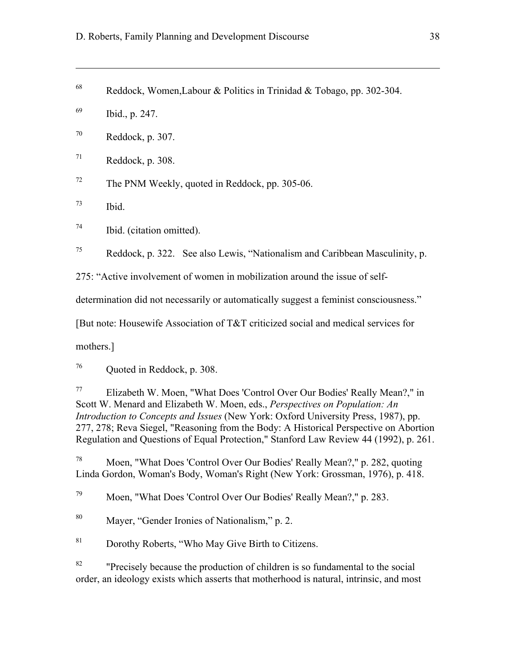- <sup>68</sup> Reddock, Women, Labour & Politics in Trinidad & Tobago, pp. 302-304.
- <sup>69</sup> Ibid., p. 247.

 $\overline{a}$ 

- $70$  Reddock, p. 307.
- $71$  Reddock, p. 308.
- $72$  The PNM Weekly, quoted in Reddock, pp. 305-06.
- $^{73}$  Ibid.
- $^{74}$  Ibid. (citation omitted).

 $75$  Reddock, p. 322. See also Lewis, "Nationalism and Caribbean Masculinity, p.

275: "Active involvement of women in mobilization around the issue of self-

determination did not necessarily or automatically suggest a feminist consciousness."

[But note: Housewife Association of T&T criticized social and medical services for

mothers.]

<sup>76</sup> Quoted in Reddock, p. 308.

<sup>77</sup> Elizabeth W. Moen, "What Does 'Control Over Our Bodies' Really Mean?," in Scott W. Menard and Elizabeth W. Moen, eds., *Perspectives on Population: An Introduction to Concepts and Issues* (New York: Oxford University Press, 1987), pp. 277, 278; Reva Siegel, "Reasoning from the Body: A Historical Perspective on Abortion Regulation and Questions of Equal Protection," Stanford Law Review 44 (1992), p. 261.

<sup>78</sup> Moen, "What Does 'Control Over Our Bodies' Really Mean?," p. 282, quoting Linda Gordon, Woman's Body, Woman's Right (New York: Grossman, 1976), p. 418.

<sup>79</sup> Moen, "What Does 'Control Over Our Bodies' Really Mean?," p. 283.

<sup>80</sup> Mayer, "Gender Ironies of Nationalism," p. 2.

<sup>81</sup> Dorothy Roberts, "Who May Give Birth to Citizens.

<sup>82</sup> "Precisely because the production of children is so fundamental to the social order, an ideology exists which asserts that motherhood is natural, intrinsic, and most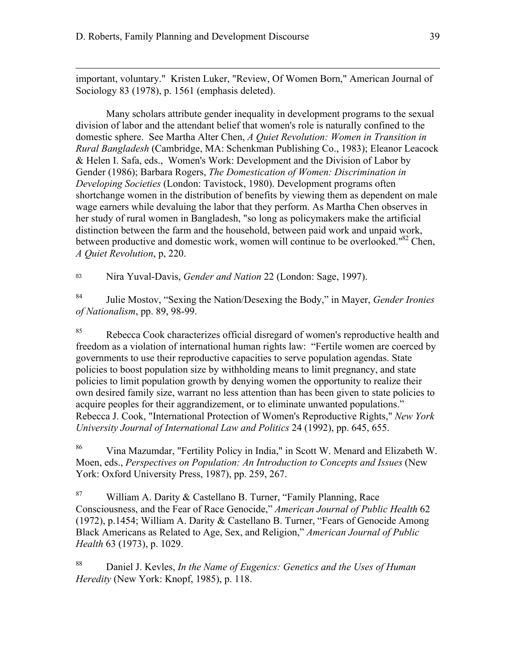$\overline{a}$ 

important, voluntary." Kristen Luker, "Review, Of Women Born," American Journal of Sociology 83 (1978), p. 1561 (emphasis deleted).

Many scholars attribute gender inequality in development programs to the sexual division of labor and the attendant belief that women's role is naturally confined to the domestic sphere. See Martha Alter Chen, *A Quiet Revolution: Women in Transition in Rural Bangladesh* (Cambridge, MA: Schenkman Publishing Co., 1983); Eleanor Leacock & Helen I. Safa, eds., Women's Work: Development and the Division of Labor by Gender (1986); Barbara Rogers, *The Domestication of Women: Discrimination in Developing Societies* (London: Tavistock, 1980). Development programs often shortchange women in the distribution of benefits by viewing them as dependent on male wage earners while devaluing the labor that they perform. As Martha Chen observes in her study of rural women in Bangladesh, "so long as policymakers make the artificial distinction between the farm and the household, between paid work and unpaid work, between productive and domestic work, women will continue to be overlooked."<sup>82</sup> Chen, *A Quiet Revolution*, p, 220.

<sup>83</sup> Nira Yuval-Davis, *Gender and Nation* 22 (London: Sage, 1997).

<sup>84</sup> Julie Mostov, "Sexing the Nation/Desexing the Body," in Mayer, *Gender Ironies of Nationalism*, pp. 89, 98-99.

<sup>85</sup> Rebecca Cook characterizes official disregard of women's reproductive health and freedom as a violation of international human rights law: "Fertile women are coerced by governments to use their reproductive capacities to serve population agendas. State policies to boost population size by withholding means to limit pregnancy, and state policies to limit population growth by denying women the opportunity to realize their own desired family size, warrant no less attention than has been given to state policies to acquire peoples for their aggrandizement, or to eliminate unwanted populations." Rebecca J. Cook, "International Protection of Women's Reproductive Rights," *New York University Journal of International Law and Politics* 24 (1992), pp. 645, 655.

<sup>86</sup> Vina Mazumdar, "Fertility Policy in India," in Scott W. Menard and Elizabeth W. Moen, eds., *Perspectives on Population: An Introduction to Concepts and Issues* (New York: Oxford University Press, 1987), pp. 259, 267.

<sup>87</sup> William A. Darity & Castellano B. Turner, "Family Planning, Race" Consciousness, and the Fear of Race Genocide," *American Journal of Public Health* 62 (1972), p.1454; William A. Darity & Castellano B. Turner, "Fears of Genocide Among Black Americans as Related to Age, Sex, and Religion," *American Journal of Public Health* 63 (1973), p. 1029.

<sup>88</sup> Daniel J. Kevles, *In the Name of Eugenics: Genetics and the Uses of Human Heredity* (New York: Knopf, 1985), p. 118.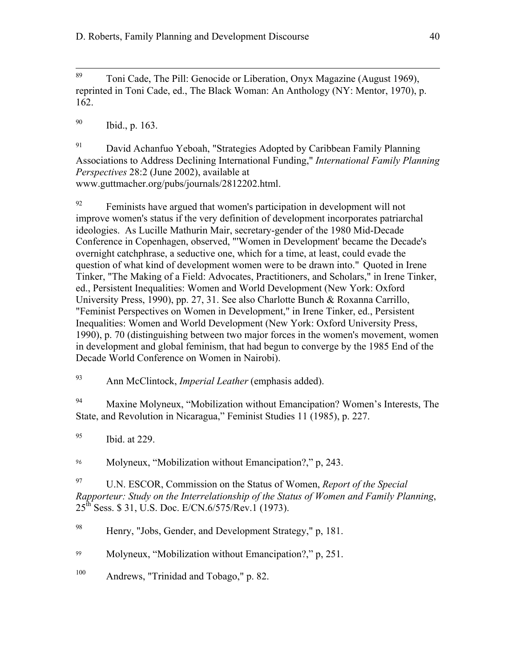<sup>89</sup> Toni Cade, The Pill: Genocide or Liberation, Onyx Magazine (August 1969), reprinted in Toni Cade, ed., The Black Woman: An Anthology (NY: Mentor, 1970), p. 162.

 $^{90}$  Ibid., p. 163.

<sup>91</sup> David Achanfuo Yeboah, "Strategies Adopted by Caribbean Family Planning Associations to Address Declining International Funding," *International Family Planning Perspectives* 28:2 (June 2002), available at www.guttmacher.org/pubs/journals/2812202.html.

 $\frac{92}{92}$  Feminists have argued that women's participation in development will not improve women's status if the very definition of development incorporates patriarchal ideologies. As Lucille Mathurin Mair, secretary-gender of the 1980 Mid-Decade Conference in Copenhagen, observed, "'Women in Development' became the Decade's overnight catchphrase, a seductive one, which for a time, at least, could evade the question of what kind of development women were to be drawn into." Quoted in Irene Tinker, "The Making of a Field: Advocates, Practitioners, and Scholars," in Irene Tinker, ed., Persistent Inequalities: Women and World Development (New York: Oxford University Press, 1990), pp. 27, 31. See also Charlotte Bunch & Roxanna Carrillo, "Feminist Perspectives on Women in Development," in Irene Tinker, ed., Persistent Inequalities: Women and World Development (New York: Oxford University Press, 1990), p. 70 (distinguishing between two major forces in the women's movement, women in development and global feminism, that had begun to converge by the 1985 End of the Decade World Conference on Women in Nairobi).

<sup>93</sup> Ann McClintock, *Imperial Leather* (emphasis added).

<sup>94</sup> Maxine Molyneux, "Mobilization without Emancipation? Women's Interests, The State, and Revolution in Nicaragua," Feminist Studies 11 (1985), p. 227.

 $^{95}$  Ibid. at 229.

<sup>96</sup> Molyneux, "Mobilization without Emancipation?," p, 243.

<sup>97</sup> U.N. ESCOR, Commission on the Status of Women, *Report of the Special Rapporteur: Study on the Interrelationship of the Status of Women and Family Planning*, 25th Sess. \$ 31, U.S. Doc. E/CN.6/575/Rev.1 (1973).

<sup>98</sup> Henry, "Jobs, Gender, and Development Strategy," p, 181.

<sup>99</sup> Molyneux, "Mobilization without Emancipation?," p, 251.

<sup>100</sup> Andrews, "Trinidad and Tobago," p. 82.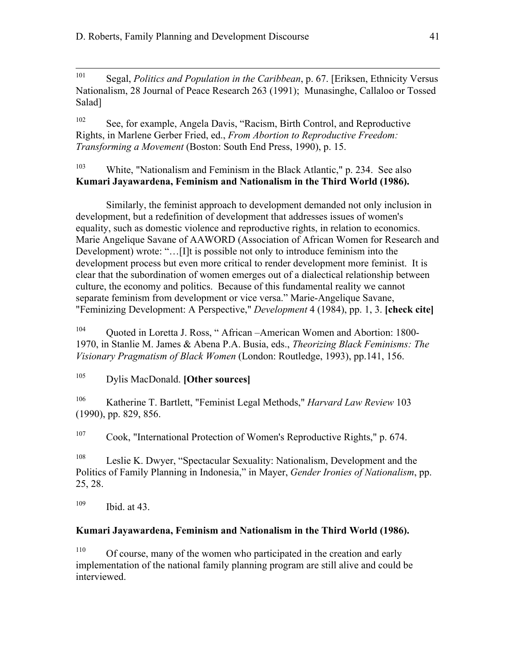<sup>101</sup> Segal, *Politics and Population in the Caribbean*, p. 67. [Eriksen, Ethnicity Versus Nationalism, 28 Journal of Peace Research 263 (1991); Munasinghe, Callaloo or Tossed Salad]

<sup>102</sup> See, for example, Angela Davis, "Racism, Birth Control, and Reproductive Rights, in Marlene Gerber Fried, ed., *From Abortion to Reproductive Freedom: Transforming a Movement* (Boston: South End Press, 1990), p. 15.

<sup>103</sup> White, "Nationalism and Feminism in the Black Atlantic," p. 234. See also **Kumari Jayawardena, Feminism and Nationalism in the Third World (1986).**

Similarly, the feminist approach to development demanded not only inclusion in development, but a redefinition of development that addresses issues of women's equality, such as domestic violence and reproductive rights, in relation to economics. Marie Angelique Savane of AAWORD (Association of African Women for Research and Development) wrote: "…[I]t is possible not only to introduce feminism into the development process but even more critical to render development more feminist. It is clear that the subordination of women emerges out of a dialectical relationship between culture, the economy and politics. Because of this fundamental reality we cannot separate feminism from development or vice versa." Marie-Angelique Savane, "Feminizing Development: A Perspective," *Development* 4 (1984), pp. 1, 3. **[check cite]**

<sup>104</sup> Quoted in Loretta J. Ross, " African –American Women and Abortion: 1800- 1970, in Stanlie M. James & Abena P.A. Busia, eds., *Theorizing Black Feminisms: The Visionary Pragmatism of Black Women* (London: Routledge, 1993), pp.141, 156.

<sup>105</sup> Dylis MacDonald. **[Other sources]**

<sup>106</sup> Katherine T. Bartlett, "Feminist Legal Methods," *Harvard Law Review* 103 (1990), pp. 829, 856.

<sup>107</sup> Cook, "International Protection of Women's Reproductive Rights," p. 674.

<sup>108</sup> Leslie K. Dwyer, "Spectacular Sexuality: Nationalism, Development and the Politics of Family Planning in Indonesia," in Mayer, *Gender Ironies of Nationalism*, pp. 25, 28.

<sup>109</sup> Ibid. at 43.

# **Kumari Jayawardena, Feminism and Nationalism in the Third World (1986).**

<sup>110</sup> Of course, many of the women who participated in the creation and early implementation of the national family planning program are still alive and could be interviewed.